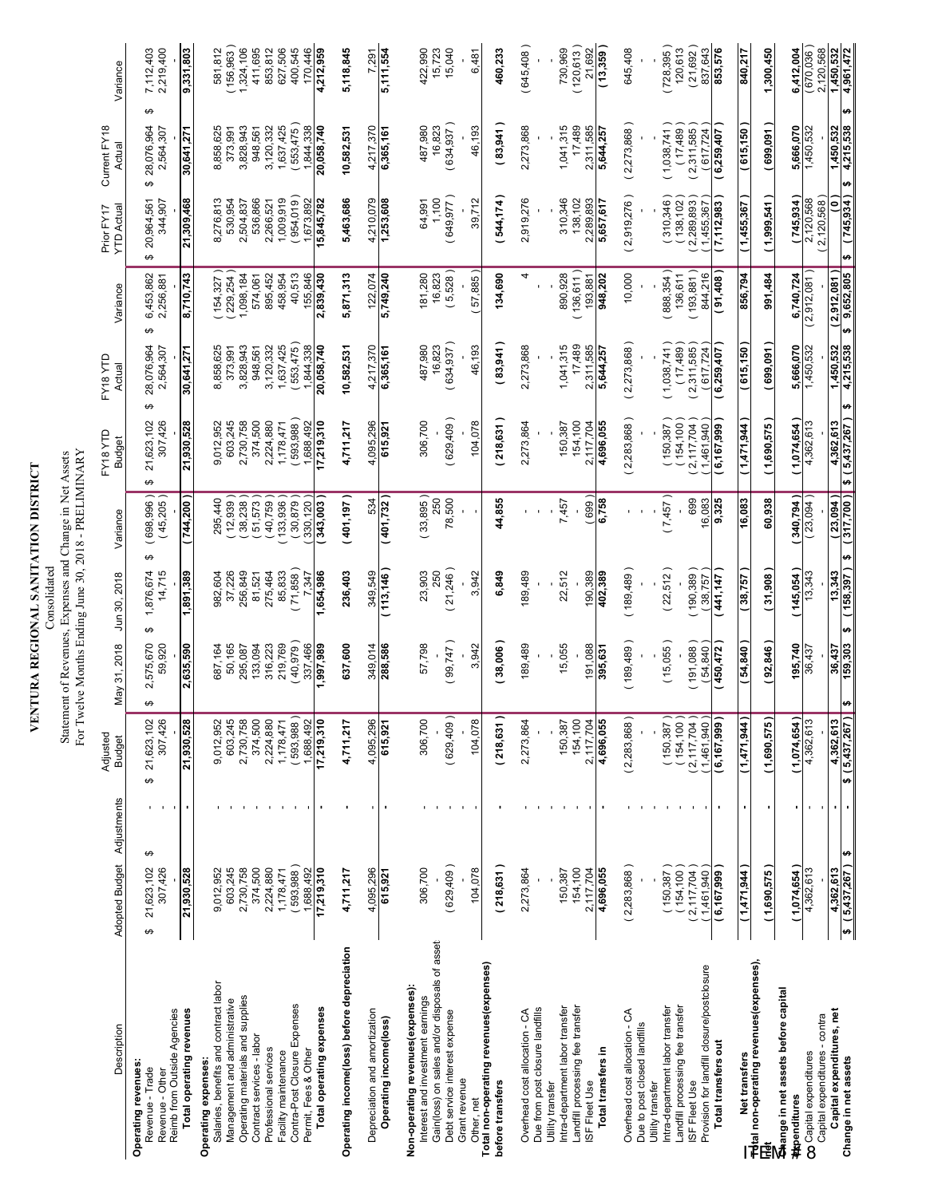| <b>TRIPLATE ATTANT DISTRICT</b> |  |
|---------------------------------|--|
|                                 |  |
|                                 |  |
| $\triangle$ REGIONA             |  |
|                                 |  |
| J                               |  |
| $\overline{\phantom{a}}$        |  |
|                                 |  |
|                                 |  |

Statement of Revenues, Expenses and Change in Net Assets For Twelve Months Ending June 30, 2018 - PRELIMINARY Statement of Revenues, Expenses and Change in Net Assets **Dimmedia** Consolidated

| Description                                                                                     | Adopted Budget Adjustments       |                                  | Adjusted<br><b>Budget</b>   | May 31, 2018                   | Jun 30, 2018              | Variance                     | FY18 YTD<br><b>Budget</b>   | FY18 YTD<br>Actual           | Variance                       | <b>YTD Actual</b><br>Prior FY17 | Current FY18<br>Actual             | Variance               |
|-------------------------------------------------------------------------------------------------|----------------------------------|----------------------------------|-----------------------------|--------------------------------|---------------------------|------------------------------|-----------------------------|------------------------------|--------------------------------|---------------------------------|------------------------------------|------------------------|
| Reimb from Outside Agencies<br><b>Operating revenues:</b><br>Revenue - Trade<br>Revenue - Other | ↮<br>21,623,102<br>307,426<br>↮  | ↮                                | 307,426<br>21,623,102       | 2,575,670<br>59,920            | 14,715<br>1,876,674<br>မာ | $(698, 996)$<br>$(45, 205)$  | 307,426<br>21,623,102<br>↮  | 28,076,964<br>2,564,307<br>↮ | 6,453,862<br>2,256,881         | 20,964,561<br>344,907<br>မာ     | မာ<br>28,076,964<br>2,564,307<br>↮ | 2,219,400<br>7,112,403 |
| Total operating revenues                                                                        | 21,930,528                       | $\blacksquare$                   | 21,930,528                  | 2,635,590                      | 1,891,389                 | (744,200                     | 21,930,528                  | 30,641,271                   | 8,710,743                      | 21,309,468                      | 30,641,271                         | 9,331,803              |
| Salaries, benefits and contract labor<br>Operating expenses:                                    | 9,012,952                        |                                  | 9,012,952                   | 687,164                        | 982,604                   | 295,440                      | 9,012,952                   | 8,858,625                    | (154, 327)                     | 8,276,813                       | 8,858,625                          | 581,812                |
| Operating materials and supplies<br>Management and administrative                               | 2,730,758<br>603,245             |                                  | 603,245<br>2,730,758        | 50,165<br>295,087              | 256,849<br>37,226         | (12, 939)<br>38,238          | 603,245<br>2,730,758        | 3,828,943<br>373,991         | 1,098,184<br>229,254           | 530,954<br>2,504,837            | 3,828,943<br>373,991               | 156,963<br>1,324,106   |
| Contract services - labor                                                                       | 374,500                          |                                  | 374,500                     | 133,094                        | 81,521                    | 51,573                       | 374,500                     | 948,561                      | 574,061                        | 536,866                         | 948,561                            | 411,695                |
| Professional services<br>Facility maintenance                                                   | 2,224,880<br>1,178,471           |                                  | 2,224,880<br>1,178,471      | 219,769<br>316,223             | 85,833<br>275,464         | 40,759)<br>133,936           | 2,224,880<br>1,178,471      | 3,120,332<br>1,637,425       | 895,452<br>458,954             | 1.009.919<br>2,266,521          | 1,637,425<br>3,120,332             | 853,812<br>627,506     |
| Contra-Post Closure Expenses                                                                    | 593,988                          |                                  | (593,988)                   | (40, 979)                      | (71,858)                  | (30, 879)                    | (593,988)                   | 553,475                      | 40,513                         | 954,019                         | 553,475                            | 400,545                |
| Total operating expenses<br>Permit, Fees & Other                                                | 1,688,492<br>17,219,310          |                                  | 1,688,492<br>17,219,310     | 337,466<br>686ʻZ66ʻ            | ,654,986<br>7,347         | 330.120<br>343,003           | 1.688.492<br>7,219,310      | 1.844.338<br>20,058,740      | 155,846<br>2,839,430           | 1,673,892<br>5,845,782          | 1.844.338<br>20,058,740            | 170.446<br>4,212,959   |
| Operating income(loss) before depreciation                                                      | 4,711,217                        |                                  | 4,711,217                   | 637,600                        | 236,403                   | (401, 197)                   | 4,711,217                   | 10,582,531                   | 5,871,313                      | 5,463,686                       | 10,582,531                         | 5,118,845              |
| Depreciation and amortization                                                                   | 4,095,296                        |                                  | 4,095,296                   | 349,014                        | 349,549                   | 534                          | 4,095,296                   | 4,217,370                    | 122,074                        | 4,210,079                       | 4,217,370                          | 7,291                  |
| Operating income(loss)                                                                          | 615,921                          |                                  | 615,921                     | 288,586                        | (113, 146)                | (401, 732)                   | 615,921                     | 6,365,161                    | 5,749,240                      | 1,253,608                       | 6,365,161                          | 5,111,554              |
| Non-operating revenues (expenses):<br>Interest and investment earnings                          | 306,700                          |                                  | 306,700                     | 57,798                         | 23,903                    | (33,895)                     | 306,700                     | 487,980                      | 181,280                        | 64,991                          | 487,980                            | 422,990                |
| Gain(loss) on sales and/or disposals of asset:                                                  |                                  |                                  |                             |                                | 250                       | 250                          |                             | 16,823                       | 16,823                         | 1,100                           | 16,823                             | 15,723                 |
| Debt service interest expense<br>Grant revenue                                                  | (629, 409)                       |                                  | (629,409)                   | (99,747)                       | (21,246)                  | 78,500                       | (629,409)                   | (634, 937)                   | (5,528)                        | (649, 977)                      | (634, 937)                         | 15,040                 |
| Other, net                                                                                      | 104,078                          |                                  | 104,078                     | 3,942                          | 3,942                     |                              | 104,078                     | 46,193                       | 57,885                         | 39,712                          | 46,193                             | 6,481                  |
| Total non-operating revenues(expenses)<br>before transfers                                      | (218, 631)                       |                                  | (218, 631)                  | (38,006)                       | 6,849                     | 44,855                       | (218, 631)                  | (83,941)                     | 134,690                        | 544,174)                        | (83,941)                           | 460,233                |
| Overhead cost allocation - CA                                                                   | 2,273,864                        |                                  | 2,273,864                   | 189,489                        | 189,489                   |                              | 2,273,864                   | 2,273,868                    | 4                              | 2,919,276                       | 2,273,868                          | (645,408)              |
| Due from post closure landfills<br>Utility transfer                                             |                                  |                                  |                             |                                |                           |                              |                             |                              |                                |                                 |                                    |                        |
| Intra-department labor transfer                                                                 | 150,387                          |                                  | 150,387                     | 15,055                         | 22,512                    | 7,457                        | 150,387                     | 1,041,315                    | 890,928                        | 310,346                         | 1,041,315                          | 730,969                |
| Landfill processing fee transfer<br>ISF Fleet Use                                               | 154,100<br>2,117,704             |                                  | 154,100<br>2,117,704        | 191,088                        | 190,389                   | 699                          | 154,100<br>2,117,704        | 17,489<br>2,311,585          | (136, 611)<br>193,881          | 138,102<br>2,289,893            | 17,489<br>2,311,585                | (120, 613)<br>21,692   |
| Total transfers in                                                                              | 4,696,055                        |                                  | 4,696,055                   | 395,631                        | 402,389                   | 6,758                        | 4,696,055                   | 5,644,257                    | 948,202                        | 5,657,617                       | 5,644,257                          | (13, 359)              |
| Overhead cost allocation - CA                                                                   | (2,283,868)                      |                                  | (2,283,868)                 | (189, 489)                     | (189, 489)                |                              | (2,283,868)                 | (2,273,868)                  | 10,000                         | (2,919,276)                     | (2,273,868)                        | 645,408                |
| Due to post closed landfills<br>Utility transfer                                                |                                  |                                  |                             |                                |                           |                              |                             |                              |                                |                                 |                                    |                        |
| Intra-department labor transfer                                                                 | 150,387                          |                                  | 150,387                     | (15,055)                       | (22,512)                  | (7,457)                      | (150, 387)                  | (1,038,741)                  | (888, 354)                     | 310,346                         | (1,038,741)                        | (728, 395)             |
| Landfill processing fee transfer<br>ISF Fleet Use                                               | 154,100<br>2,117,704             |                                  | (154, 100<br>2,117,704      | (191,088)                      | (190, 389)                | 699                          | (154, 100)<br>2,117,704     | (17, 489)<br>(2,311,585)     | 136,611<br>193,881             | 2,289,893<br>138,102            | (17, 489)<br>(2,311,585)           | (21,692)<br>120,613    |
| Provision for landfill closure/postclosure                                                      | 1,461,940                        |                                  | 1,461,940                   | (54, 840)                      | (38,757)                  | 16,083                       | 1,461,940                   | (617, 724)                   | 844,216                        | 1,455,367                       | (617, 724)                         | 837,643                |
| Total transfers out                                                                             | (6, 167, 999)                    |                                  | (6, 167, 999)               | (450, 472)                     | (441, 147)                | 9,325                        | 6,167,999                   | (6, 259, 407)                | 804,16                         | (7,112,983)                     | (6,259,407                         | 853,576                |
| Net transfers                                                                                   | (1,471,944)                      |                                  | <b>447, 444</b>             | (54, 840)                      | (38,757)                  | 16,083                       | (1,471,944)                 | (615, 150)                   | 856,794                        | (1,455,367)                     | (615, 150)                         | 840,217                |
|                                                                                                 | (1,690,575)                      | ٠                                | (1,690,575                  | (92, 846)                      | (31,908)                  | 60,938                       | (1,690,575)                 | (699,091                     | 991,484                        | (1,999,541)                     | (699,091)                          | 1,300,450              |
| Change in net assets before capital<br><b>Appenditures</b>                                      | (1,074,654)                      |                                  | (1,074,654                  | 195,740                        | (145,054)                 | (340, 794)                   | (1,074,654)                 | 5,666,070                    | 6,740,724                      | (745, 934)                      | 5,666,070                          | 6,412,004              |
| Capital expenditures - contra<br>Capital expenditures                                           | 4,362,613                        |                                  | 4,362,613                   | 36,437                         | 13,343                    | (23,094)                     | 4,362,613                   | 1,450,532                    | (2,912,081)                    | 2,120,568<br>2,120,568          | 1,450,532                          | (670,036)<br>2,120,568 |
| Capital expenditures, net<br>Change in net assets                                               | H<br>\$ (5,437,267)<br>4,362,613 | $\blacksquare$<br>$\blacksquare$ | 4,362,613<br>\$ (5,437,267) | 159,303<br>36,437<br>$\bullet$ | (158, 397)<br>13,343<br>4 | (0.02'215)<br>(23,094)<br>H) | \$ (5,437,267)<br>4,362,613 | 1,450,532<br>4,215,538<br>H  | 9,652,805<br>(2,912,081)<br>s, | (745.934)<br>ົອ<br>H            | H<br>4,215,538<br>1,450,532<br>th  | 1,450,532<br>4.961.472 |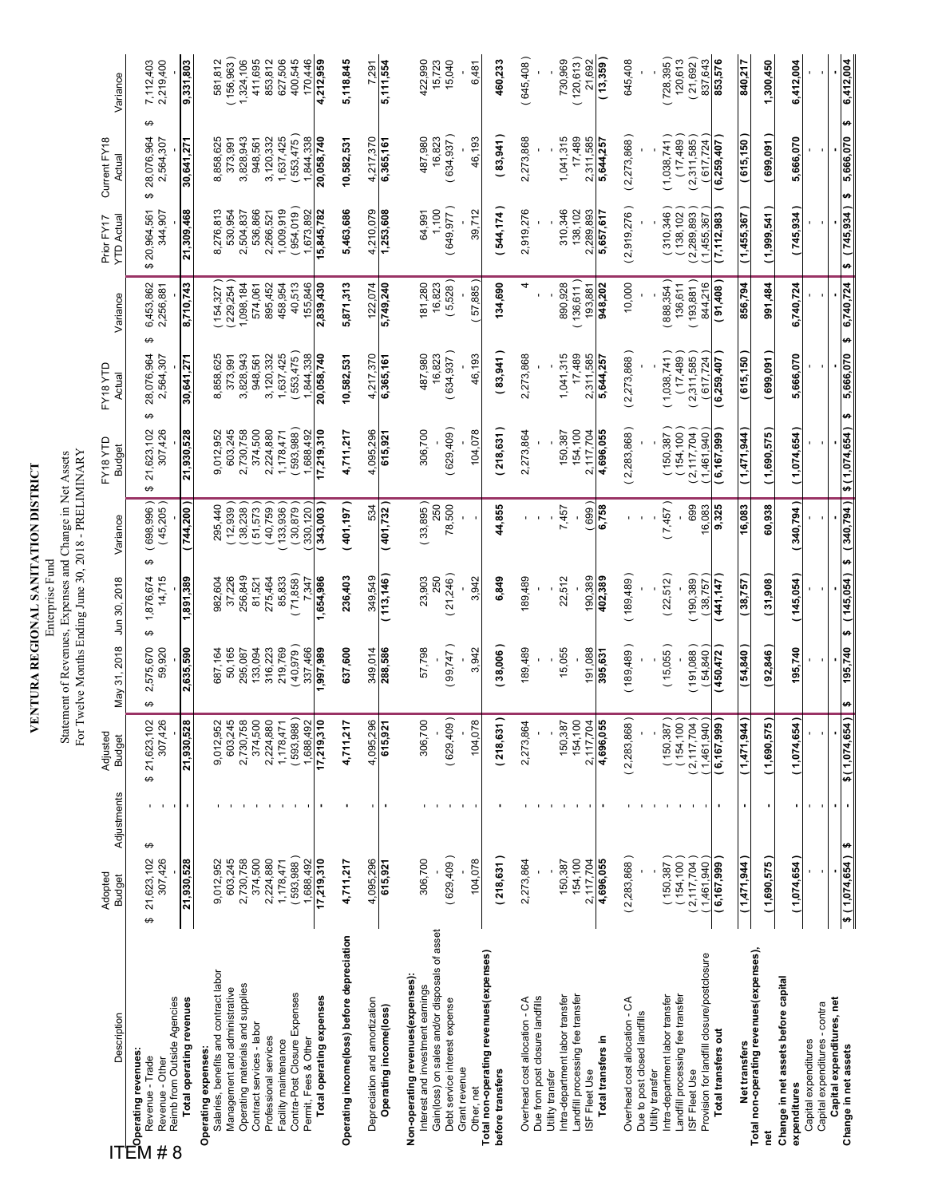| <b>/ENTURA REGIONAL SANITATION DISTRICT</b> |  |
|---------------------------------------------|--|
|                                             |  |

Enterprise rund<br>Statement of Revenues, Expenses and Change in Net Assets<br>For Twelve Months Ending June 30, 2018 - PRELIMINARY Statement of Revenues, Expenses and Change in Net Assets Enterprise Fund

| Description                                                                                                             | Adopted<br><b>Budget</b>   | Adjustments         | Adjusted<br><b>Budget</b>                          | May 31, 2018             | Jun 30, 2018             | Variance                       | FY18YTD<br><b>Budget</b>    | EY18 YTD<br>Actual           | Variance               | <b>YTD Actual</b><br>Prior FY17 | Current FY18<br>Actual            | Variance               |
|-------------------------------------------------------------------------------------------------------------------------|----------------------------|---------------------|----------------------------------------------------|--------------------------|--------------------------|--------------------------------|-----------------------------|------------------------------|------------------------|---------------------------------|-----------------------------------|------------------------|
| Reimb from Outside Agencies<br>$\mathbb{E}_{\text{Operating revenues}}$<br>Revenue - Trade<br>Revenue - Other<br>#<br>8 | 307,426<br>21,623,102<br>↮ | ↮                   | $$21,623,102$<br>$307,426$                         | 2,575,670<br>59,920<br>↮ | 14,715<br>1,876,674<br>↮ | $(698,996)$<br>$(45,205)$<br>↮ | 307,426<br>21,623,102<br>↮  | 28,076,964<br>2,564,307<br>↮ | 6,453,862<br>2,256,881 | 344,907<br>20,964,561<br>↮      | ఱ<br>28,076,964<br>2,564,307<br>↮ | 2,219,400<br>7,112,403 |
| Total operating revenues                                                                                                | 21,930,528                 | $\blacksquare$      | 21,930,528                                         | 2,635,590                | 1,891,389                | (744,200                       | 21,930,528                  | 30,641,271                   | 8,710,743              | 21,309,468                      | 30,641,271                        | 9,331,803              |
| Salaries, benefits and contract labor<br>Operating expenses:                                                            | 9,012,952                  |                     | 9,012,952<br>603,245                               | 687,164                  | 982,604                  | 295,440                        | 9,012,952                   | 8,858,625                    | (154, 327)<br>229,254  | 8,276,813                       | 8,858,625                         | 581,812                |
| Operating materials and supplies<br>Management and administrative                                                       | 603,245<br>2,730,758       |                     | 2,730,758                                          | 50,165<br>295,087        | 256,849<br>37,226        | (12,939)<br>38,238             | 2,730,758<br>603,245        | 3,828,943<br>373,991         | 1,098,184              | 530,954<br>2,504,837            | 3,828,943<br>373,991              | 156,963)<br>1,324,106  |
| Contract services - labor                                                                                               | 374,500                    |                     | 374,500<br>2,224,880                               | 133,094                  | 81,521                   | 51,573                         | 374,500                     | 948,561                      | 574,061                | 536,866                         | 948,561                           | 411,695                |
| Professional services                                                                                                   | 2,224,880                  |                     |                                                    | 316,223                  | 275,464                  | 40,759                         | 2,224,880                   | 3,120,332                    | 895,452                | 2,266,521                       | 3,120,332                         | 853,812                |
| Contra-Post Closure Expenses<br>Facility maintenance                                                                    | 593,988)<br>,178,471       |                     | 593,988)<br>1,178,471                              | (40, 979)<br>219,769     | 71,858<br>85,833         | 30,879<br>133,936              | 593,988<br>1,178,471        | (553, 475)<br>1,637,425      | 40,513<br>458,954      | (954.019)<br>1,009,919          | (553, 475)<br>1,637,425           | 400,545<br>627,506     |
| Permit, Fees & Other                                                                                                    | ,688,492                   |                     | 1,688,492                                          | 337,466                  | 7,347                    | 330,120                        | ,688,492                    | 1,844,338                    | 155,846                | ,673,892                        | 1,844,338                         | 170,446                |
| Total operating expenses                                                                                                | 17,219,310                 | ٠                   | 17,219,310                                         | ,997,989                 | 1,654,986                | 343,003                        | 17,219,310                  | 20,058,740                   | 2,839,430              | 15,845,782                      | 20,058,740                        | 4,212,959              |
| Operating income(loss) before depreciation                                                                              | 4,711,217                  |                     | 4,711,217                                          | 637,600                  | 236,403                  | (401, 197)                     | 4,711,217                   | 10,582,531                   | 5,871,313              | 5,463,686                       | 10,582,531                        | 5,118,845              |
| Depreciation and amortization                                                                                           | 4,095,296                  |                     | 4,095,296                                          | 349,014                  | 349,549                  | 534                            | 4,095,296                   | 4,217,370                    | 122,074                | 4,210,079                       | 4,217,370                         | 7.291                  |
| Operating income(loss)                                                                                                  | 615,921                    |                     | 615,921                                            | 288,586                  | (113, 146)               | (401, 732)                     | 615,921                     | 6,365,161                    | 5,749,240              | 1,253,608                       | 6,365,161                         | 5,111,554              |
| Non-operating revenues (expenses):<br>Interest and investment earnings                                                  | 306,700                    |                     | 306,700                                            | 57,798                   | 23,903                   | (33,895)                       | 306,700                     | 487,980                      | 181,280                | 64,991                          | 487,980                           | 422,990                |
| Gain(loss) on sales and/or disposals of asset:                                                                          |                            |                     |                                                    |                          | 250                      | 250                            |                             | 16,823                       | 16,823                 | 1,100                           | 16,823                            | 15,723                 |
| Debt service interest expense                                                                                           | (629, 409)                 |                     | (629, 409)                                         | (99,747)                 | 21,246)                  | 78,500                         | (629, 409)                  | 634,937)                     | (5,528)                | (649, 977)                      | (634,937)                         | 15,040                 |
| Grant revenue<br>Other, net                                                                                             | 104,078                    |                     | $\infty$<br>104,07                                 | 3,942                    | 3,942                    |                                | 104,078                     | 46,193                       | 57,885                 | 39,712                          | 46,193                            | 6,481                  |
| Total non-operating revenues(expenses)<br>before transfers                                                              | (218, 631)                 |                     | (218, 631)                                         | (38,006)                 | 6,849                    | 44,855                         | (218,631                    | (83,941)                     | 134,690                | (544,174)                       | (83,941)                          | 460,233                |
| Overhead cost allocation - CA                                                                                           | 2,273,864                  |                     | 2,273,864                                          | 189,489                  | 189,489                  |                                | 2,273,864                   | 2,273,868                    | 4                      | 2,919,276                       | 2,273,868                         | (645, 408)             |
| Due from post closure landfills<br>Utility transfer                                                                     |                            |                     |                                                    |                          |                          |                                |                             |                              |                        |                                 |                                   |                        |
| Intra-department labor transfer                                                                                         | 150,387                    |                     | 150,387                                            | 15,055                   | 22,512                   | 7,457                          | 150,387                     | 1,041,315                    | 890,928                | 310,346                         | 1,041,315                         | 730,969                |
| Landfill processing fee transfer<br>ISF Fleet Use                                                                       | 154,100<br>2,117,704       |                     | 154,100                                            | 191,088                  | 190,389                  | 699                            | 154,100<br>2,117,704        | 17,489<br>2,311,585          | (136, 611)<br>193.881  | 138,102<br>2,289,893            | 17,489<br>2,311,585               | (120, 613)<br>21,692   |
| Total transfers in                                                                                                      | 4,696,055                  |                     | $\frac{2,117,704}{4,696,055}$                      | 395,631                  | 402,389                  | 6,758                          | 4,696,055                   | 5,644,257                    | 948,202                | 5,657,617                       | 5,644,257                         | (13,359)               |
| Overhead cost allocation - CA                                                                                           | (2,283,868)                |                     | (2,283,868)                                        | (189, 489)               | (189,489)                |                                | (2,283,868)                 | (2,273,868)                  | 10,000                 | (2,919,276)                     | (2,273,868)                       | 645,408                |
| Due to post closed landfills<br>Utility transfer                                                                        |                            |                     |                                                    |                          |                          |                                |                             |                              |                        |                                 |                                   |                        |
| Intra-department labor transfer                                                                                         | 150,387                    |                     | 150,387                                            | (15,055)                 | (22,512)                 | (7,457)                        | 150,387                     | 1,038,741                    | (888, 354)             | (310,346)                       | (1,038,741)                       | 728,395)               |
| Landfill processing fee transfer<br>ISF Fleet Use                                                                       | (154, 100<br>(2, 117, 704) |                     | (154, 100<br>2,117,704                             | 191,088                  | (190, 389)               | 699                            | (154, 100<br>2,117,704      | (17, 489)<br>(2,311,585)     | (193, 881)<br>136,611  | (138, 102)<br>2,289,893         | (17, 489)<br>(2,311,585)          | (21,692)<br>120,613    |
| Provision for landfill closure/postclosure                                                                              | (1,461,940)<br>6,167,999   |                     | $\overline{\phantom{0}}$<br>1,461,940<br>6,167,999 | (54, 840)<br>450,472     | (38,757)                 | 16,083<br>9,325                | 1,461,940                   | (617, 724)<br>6,259,407      | 844,216                | 7,112,983<br>1,455,367          | (617, 724)<br>6,259,407           | 837,643<br>853,576     |
| Total transfers out                                                                                                     |                            |                     | $\overline{\phantom{0}}$                           |                          | 441,147                  |                                | 6,167,999                   |                              | 91,408                 |                                 |                                   |                        |
| Net transfers<br>Total non-operating revenues(expenses),                                                                | <b>447, 444</b>            |                     | (1,471,944)                                        | 54,840                   | 38,757                   | 16,083                         | 1,471,944                   | 615,150                      | 856,794                | 1,455,367                       | 615,150                           | 840,217                |
| īet                                                                                                                     | (1,690,575)                |                     | ÷<br>(1,690,575)                                   | (92, 846)                | (31,908)                 | 60,938                         | (1,690,575)                 | (699,091)                    | 991,484                | (1,999,541)                     | (699,091)                         | 1,300,450              |
| Change in net assets before capital<br>expenditures                                                                     | (1,074,654)                | ٠                   | (1,074,654                                         | 195,740                  | (145,054)                | (340, 794)                     | (1,074,654)                 | 5,666,070                    | 6,740,724              | (745, 934)                      | 5,666,070                         | 6,412,004              |
| Capital expenditures - contra<br>Capital expenditures                                                                   |                            | ×                   |                                                    |                          |                          |                                |                             |                              |                        |                                 |                                   |                        |
| Capital expenditures, net                                                                                               |                            | ×                   |                                                    |                          |                          |                                |                             |                              |                        |                                 |                                   |                        |
| Change in net assets                                                                                                    | \$(1,074,654)              | $\blacksquare$<br>₩ | \$(1,074,654                                       | 195,740<br>₩             | (145, 054)<br>₩          | ø                              | $(340, 794)$ \$ (1,074,654) | 5,666,070<br>₩               | 6,740,724<br>₩         | (745, 934)<br>÷                 | H)<br>5,666,070<br>÷              | 6,412,004              |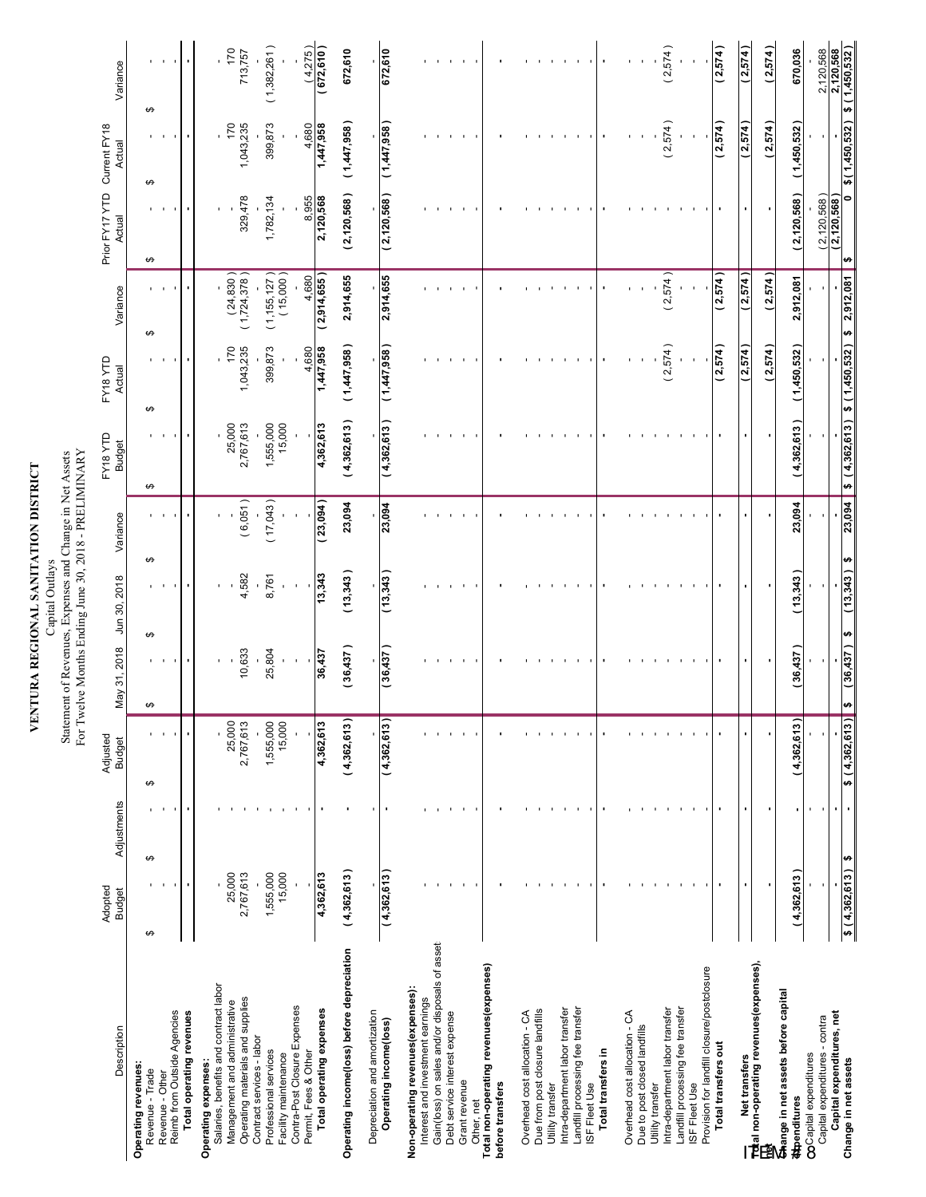**VENTURA REGIONAL SANITATION DISTRICT**<br>Capital Oultays<br>Statement of Revenues, Expenses and Change in Net Assets<br>For Twelve Months Ending June 30, 2018 - PRELIMINARY For Twelve Months Ending June 30, 2018 - PRELIMINARY Statement of Revenues, Expenses and Change in Net Assets Capital Outlays

|                                                                    | Adopted             |             | Adjusted            |              |              |          | FY18YTD                     | FY18 YTD    |                             | Prior FY17 YTD   | Current FY18  |                                    |
|--------------------------------------------------------------------|---------------------|-------------|---------------------|--------------|--------------|----------|-----------------------------|-------------|-----------------------------|------------------|---------------|------------------------------------|
| Description                                                        | <b>Budget</b>       | Adjustments | <b>Budget</b>       | May 31, 2018 | Jun 30, 2018 | Variance | <b>Budget</b>               | Actual      | Variance                    | Actual           | Actual        | Variance                           |
| Operating revenues:<br>Revenue - Trade                             | ↔                   | ↮           | ↮                   | ↮            | ↮            | ↮        | ↮                           | ↮           | ↮                           | ↮                | ↮<br>↮        |                                    |
| Revenue - Other                                                    |                     |             |                     |              |              |          |                             |             |                             |                  |               |                                    |
| Reimb from Outside Agencies                                        |                     |             |                     |              |              |          |                             |             |                             |                  |               |                                    |
| Total operating revenues                                           |                     |             |                     |              |              |          |                             |             |                             |                  |               |                                    |
| Salaries, benefits and contract labor<br>Operating expenses:       |                     |             |                     |              |              |          |                             |             |                             |                  |               |                                    |
| Management and administrative                                      | 25,000              |             | 25,000              |              |              |          |                             | 170         |                             |                  | 170           | 170                                |
| Operating materials and supplies                                   | 2,767,613           |             | 2,767,613           | 10,633       | 4,582        | (6,051)  | 25,000<br>2,767,613         | 1,043,235   | $(24,830)$<br>$(1,724,378)$ | 329,478          | 1,043,235     | 713,757                            |
| Contract services - labor                                          |                     |             |                     |              |              |          |                             |             |                             |                  |               |                                    |
| Professional services<br>Facility maintenance                      | 1,555,000<br>15,000 |             | 1,555,000<br>15,000 | 25,804       | 8,761        | (17,043) | 1,555,000<br>15,000         | 399,873     | $(1,155,127)$<br>$(15,000)$ | 1,782,134        | 399,873       | (1,382,261)                        |
| Contra-Post Closure Expenses                                       |                     |             |                     |              |              |          |                             |             |                             |                  |               |                                    |
| Permit, Fees & Other                                               |                     |             |                     |              |              |          |                             | 4,680       | 4,680                       | 8,955            | 4,680         |                                    |
| Total operating expenses                                           | 4,362,613           |             | 4,362,613           | 36,437       | 13,343       | (23,094) | 4,362,613                   | 1,447,958   | 2,914,655                   | 2,120,568        | 1,447,958     | $\frac{(4,275)}{(672,610)}$        |
| Operating income(loss) before depreciation                         | (4,362,613)         |             | (4,362,613)         | 36,437)      | (13,343)     | 23,094   | (4,362,613)                 | (1,447,958) | 2,914,655                   | (2, 120, 568)    | (1,447,958)   | 672,610                            |
| Depreciation and amortization                                      |                     |             |                     |              |              |          |                             |             |                             |                  |               |                                    |
| Operating income(loss)                                             | (4, 362, 613)       |             | (4,362,613)         | (36, 437)    | (13, 343)    | 23,094   | (4,362,613)                 | (1,447,958) | 2,914,655                   | (2, 120, 568)    | (1,447,958)   | 672,610                            |
| Non-operating revenues(expenses):                                  |                     |             |                     |              |              |          |                             |             |                             |                  |               |                                    |
| Interest and investment earnings                                   |                     |             |                     |              |              |          |                             |             |                             |                  |               |                                    |
| Gain(loss) on sales and/or disposals of asset:                     |                     |             |                     |              |              |          |                             |             |                             |                  |               |                                    |
| Debt service interest expense                                      |                     |             |                     |              |              |          |                             |             |                             |                  |               |                                    |
| Grant revenue<br>Other, net                                        |                     |             |                     |              |              |          |                             |             |                             |                  |               |                                    |
| Total non-operating revenues (expenses)                            |                     |             |                     |              |              |          |                             |             |                             |                  |               |                                    |
| before transfers                                                   |                     |             |                     |              |              |          |                             |             |                             |                  |               |                                    |
| Overhead cost allocation - CA                                      |                     |             |                     |              |              |          |                             |             |                             |                  |               |                                    |
| Due from post closure landfills                                    |                     |             |                     |              |              |          |                             |             |                             |                  |               |                                    |
| Intra-department labor transfer<br>Utility transfer                |                     |             |                     |              |              |          |                             |             |                             |                  |               |                                    |
| Landfill processing fee transfer                                   |                     |             |                     |              |              |          |                             |             |                             |                  |               |                                    |
| ISF Fleet Use                                                      |                     |             |                     |              |              |          |                             |             |                             |                  |               |                                    |
| Total transfers in                                                 |                     |             |                     |              |              |          |                             |             |                             |                  |               |                                    |
| Overhead cost allocation - CA                                      |                     |             |                     |              |              |          |                             |             |                             |                  |               |                                    |
| Due to post closed landfills                                       |                     |             |                     |              |              |          |                             |             |                             |                  |               |                                    |
| Intra-department labor transfer<br>Utility transfer                |                     |             |                     |              |              |          |                             | (2,574)     | (2,574)                     |                  | (2,574)       | (2,574)                            |
| Landfill processing fee transfer                                   |                     |             |                     |              |              |          |                             |             |                             |                  |               |                                    |
| ISF Fleet Use                                                      |                     |             |                     |              |              |          |                             |             |                             |                  |               |                                    |
| Provision for landfill closure/postclosure                         |                     |             |                     |              |              |          |                             |             |                             |                  |               |                                    |
| Total transfers out                                                |                     |             |                     |              |              |          |                             | (2,574)     | (2,574)                     |                  | (2,574)       | (2,574)                            |
| — Net transfers<br><u>Tot</u> al non-operating revenues(expenses), |                     |             |                     |              |              |          |                             | (2,574)     | (2,574)                     |                  | (2,574)       | (2,574)                            |
| ۱e                                                                 |                     |             |                     |              |              |          |                             | (2,574)     | (2,574)                     |                  | (2,574)       | (2,574)                            |
| <b>Change in net assets before capital</b>                         |                     |             |                     |              |              |          |                             |             |                             |                  |               |                                    |
| CoCapital expenditures<br><b>Expenditures</b>                      | (4,362,613)         |             | (4,362,613)         | 36,437)      | 13,343       | 23,094   | (4,362,613)                 | (1,450,532) | 2,912,081                   | 2,120,568)       | (1,450,532)   | 670,036                            |
| Capital expenditures - contra                                      |                     |             |                     |              |              |          |                             |             |                             | (2, 120, 568)    |               | 2,120,568                          |
| Capital expenditures, net                                          | $$(4,362,613)$ \$   |             |                     | (36, 437)    | (13, 343)    | 23,094   | \$(4,362,613) \$(1,450,532) |             | 2,912,081                   | (2,120,568)<br>₩ | \$(1,450,532) | $\frac{2,120,568}{$ \$ (1,450,532) |
| Change in net assets                                               |                     |             | \$(4,362,613)       | ÷            | ↮            | ↮        |                             |             | ø                           | 0                |               |                                    |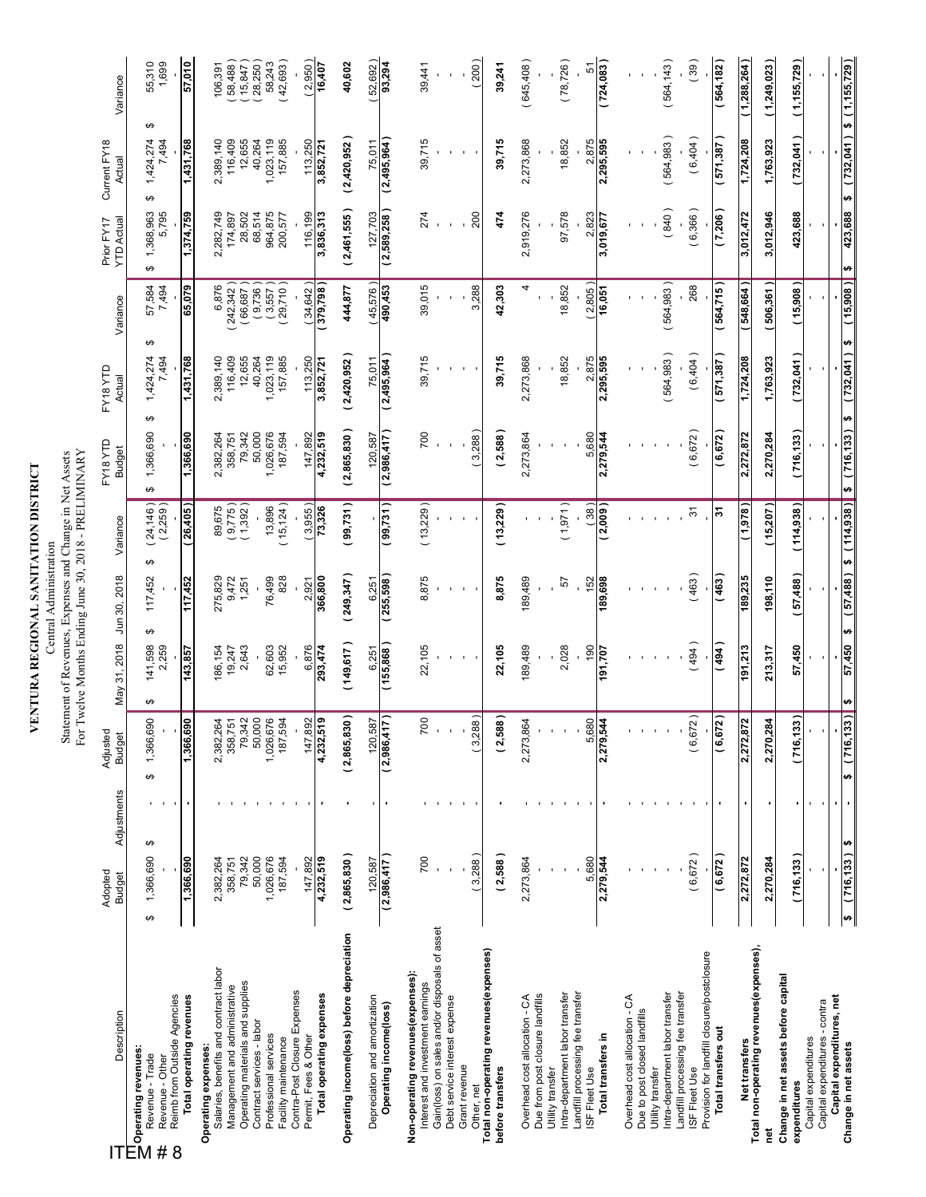**VENTURA REGIONAL SANITATION DISTRICT**<br>Central Administration<br>Statement of Revenues, Expenses and Change in Net Assets<br>For Twelve Months Ending June 30, 2018 - PRELIMINARY Statement of Revenues, Expenses and Change in Net Assets Central Administration

| Description                                                                                                                             | Adopted<br><b>Budget</b> | Adjustments    | Adjustec<br><b>Budget</b>       | May 31, 2018          | Jun 30, 2018     | Variance                  | FY18YTD<br><b>Budget</b> | FY18 YTD<br>Actual      | Variance             | <b>YTD Actual</b><br>Prior FY17 | Current FY18<br>Actual       | Variance           |
|-----------------------------------------------------------------------------------------------------------------------------------------|--------------------------|----------------|---------------------------------|-----------------------|------------------|---------------------------|--------------------------|-------------------------|----------------------|---------------------------------|------------------------------|--------------------|
| Reimb from Outside Agencies<br><b>[T] Operating revenues:</b><br>22     Revenue - Trade<br>Revenue - Trade<br>Revenue - Other<br>8<br># | ↮<br>1,366,690<br>↮      |                | 60<br>1,366,6<br>↮              | 141,598<br>2,259<br>↮ | 117,452<br>↮     | (24, 146)<br>(2,259)<br>↮ | 1,366,690<br>↮           | 1,424,274<br>7,494<br>↮ | 57,584<br>7,494<br>↮ | 1,368,963<br>5,795<br>↮         | ↮<br>1,424,274<br>7,494<br>↮ | 55,310<br>1,699    |
| Total operating revenues                                                                                                                | 1,366,690                |                | 1,366,690                       | 143,857               | 117,452          | 26,405                    | 1,366,690                | 1,431,768               | 65,079               | 1,374,759                       | 1,431,768                    | 57,010             |
| Salaries, benefits and contract labor<br>Management and administrative<br>Operating expenses:                                           | 2,382,264<br>358,751     |                | <b>g 51</b><br>2,382,2<br>358,7 | 186,154<br>19,247     | 275,829<br>9,472 | 9,775)<br>89,675          | 2,382,264<br>358,751     | 2,389,140<br>116,409    | 242,342)<br>6,876    | 2,282,749<br>174,897            | 2,389,140<br>116,409         | 58,488)<br>106,391 |
| Operating materials and supplies                                                                                                        | 79,342                   |                | 79,342                          | 2,643                 | 1,251            | 1,392                     | 79,342                   | 12,655                  | (66, 687)            | 28,502                          | 12,655                       | 15,847             |
| Contract services - labor                                                                                                               | 50,000                   |                | 50,000                          |                       |                  |                           | 50,000                   | 40,264                  | (9,736)              | 68,514                          | 40,264                       | 28,250)            |
| Professional services<br>Facility maintenance                                                                                           | 1,026,676<br>187,594     |                | 1,026,676<br>187,594            | 62,603<br>15,952      | 76,499<br>828    | 15, 124)<br>13,896        | 1,026,676<br>187,594     | 1,023,119<br>157,885    | (3,557)<br>29,710    | 964,875<br>200,577              | 1,023,119<br>157,885         | 42,693)<br>58,243  |
| Contra-Post Closure Expenses<br>Permit, Fees & Other                                                                                    | 147,892                  |                | 92<br>147,8                     | 6,876                 | 2,921            | 3,955)                    | 147,892                  | 113,250                 | 34,642)              | 116,199                         | 113,250                      | (2,950)            |
| Total operating expenses                                                                                                                | 4,232,519                |                | 4,232,519                       | 293,474               | 366,800          | 73,326                    | 4,232,519                | 3,852,721               | 379,798              | 3,836,313                       | 3,852,721                    | 16,407             |
| Operating income(loss) before depreciation                                                                                              | (2,865,830)              |                | (2,865,830)                     | (149, 617)            | (249, 347)       | 99,731)                   | (2,865,830)              | (2,420,952)             | 444,877              | (2,461,555)                     | (2,420,952)                  | 40,602             |
| Depreciation and amortization                                                                                                           | 120,587                  |                | 587<br>120,5                    | 6,251                 | 6,251            |                           | 120,587                  | 75,011                  | (45,576)             | 127,703                         | 75,011                       | 52,692)            |
| Operating income(loss)                                                                                                                  | (2,986,417)              |                | (2,986,417)                     | (155,868)             | (255, 598)       | (99,731)                  | (2,986,417)              | (2,495,964)             | 490,453              | (2,589,258)                     | (2,495,964)                  | 93,294             |
| Non-operating revenues (expenses):<br>Interest and investment earnings                                                                  | 700                      |                | 200                             | 22,105                | 8,875            | (13,229)                  | 700                      | 39,715                  | 39,015               | 274                             | 39,715                       | 39,441             |
| Gain(loss) on sales and/or disposals of asset                                                                                           |                          |                |                                 |                       |                  |                           |                          |                         |                      |                                 |                              |                    |
| Debt service interest expense<br>Grant revenue                                                                                          |                          |                |                                 |                       |                  |                           |                          |                         |                      |                                 |                              |                    |
| Other, net                                                                                                                              | (3,288)                  |                | (3,288)                         |                       |                  |                           | 3,288                    |                         | 3,288                | 200                             |                              | (200)              |
| Total non-operating revenues(expenses)<br>before transfers                                                                              | (2,588)                  |                | (2,588)                         | 22,105                | 8,875            | (13,229)                  | (2,588)                  | 39,715                  | 42,303               | 474                             | 39,715                       | 39,241             |
| Overhead cost allocation - CA                                                                                                           | 2,273,864                |                | 864<br>2,273,8                  | 189,489               | 189,489          |                           | 2,273,864                | 2,273,868               | 4                    | 2,919,276                       | 2,273,868                    | (645, 408)         |
| Due from post closure landfills<br>Utility transfer                                                                                     |                          |                |                                 |                       |                  |                           |                          |                         |                      |                                 |                              |                    |
| Intra-department labor transfer                                                                                                         |                          |                |                                 | 2,028                 | 5                | (1,971)                   |                          | 18,852                  | 18,852               | 97,578                          | 18,852                       | (78, 726)          |
| Landfill processing fee transfer<br>ISF Fleet Use                                                                                       | 5,680                    |                | 5,680                           | 190                   | 152              | (38)                      | 5,680                    | 2,875                   | 2,805)               | 2,823                           | 2,875                        | 5                  |
| Total transfers in                                                                                                                      | 2,279,544                |                | 2,279,544                       | 191,707               | 189,698          | 2,009                     | 2,279,544                | 2,295,595               | 16,051               | 3,019,677                       | 2,295,595                    | (724,083           |
| Overhead cost allocation - CA                                                                                                           |                          |                |                                 |                       |                  |                           |                          |                         |                      |                                 |                              |                    |
| Due to post closed landfills<br>Utility transfer                                                                                        |                          |                |                                 |                       |                  |                           |                          |                         |                      |                                 |                              |                    |
| Intra-department labor transfer                                                                                                         |                          |                |                                 |                       |                  |                           |                          | (564, 983)              | (564, 983)           | (840)                           | (564, 983)                   | (564, 143)         |
| Landfill processing fee transfer<br>ISF Fleet Use                                                                                       | (6, 672)                 |                | (6, 672)                        | (494)                 | (463)            | $\overline{5}$            | (6, 672)                 | (6,404)                 | 268                  | (6,366)                         | (6,404)                      | (39)               |
| Provision for landfill closure/postclosure                                                                                              |                          |                |                                 |                       |                  |                           |                          |                         |                      |                                 |                              |                    |
| Total transfers out                                                                                                                     | (6, 672)                 |                | (6, 672)                        | (494)                 | (463)            | స్                        | (6, 672)                 | ( 571,387 )             | (564,715)            | (7,206)                         | (571, 387)                   | (564, 182)         |
| Net transfers<br>Total non-operating revenues(expenses),                                                                                | 2,272,872                |                | 372<br>2,272,8                  | 191,213               | 189,235          | ( 878)                    | 2,272,872                | 1,724,208               | (548, 664)           | 3,012,472                       | 1,724,208                    | 1,288,264)         |
| ē                                                                                                                                       | 2,270,284                | J.             | 34<br>2,270,2                   | 213,317               | 198,110          | (15,207)                  | 2,270,284                | 1,763,923               | (506, 361)           | 3,012,946                       | 1,763,923                    | (1,249,023)        |
| Change in net assets before capital<br>expenditures                                                                                     | (716, 133)               |                | $\overline{33}$<br>(716, 1)     | 57,450                | 57,488)          | (114, 938)                | (716, 133)               | (732, 041)              | (15,908)             | 423,688                         | (732, 041)                   | (1,155,729)        |
| Capital expenditures - contra<br>Capital expenditures                                                                                   |                          |                |                                 |                       |                  |                           |                          |                         |                      |                                 |                              |                    |
| Capital expenditures, net<br>Change in net assets                                                                                       | H<br>(716.133)<br>th)    | $\blacksquare$ | (716, 133)<br>u)                | 57,450<br>₩           | 884.75<br>s      | (114, 938)<br>÷           | (716, 133)<br>$\bullet$  | 732.041<br>₩            | (15,908)<br>H        | 423,688<br>₩                    | (732.041)<br>÷               | (1, 155, 729)<br>ø |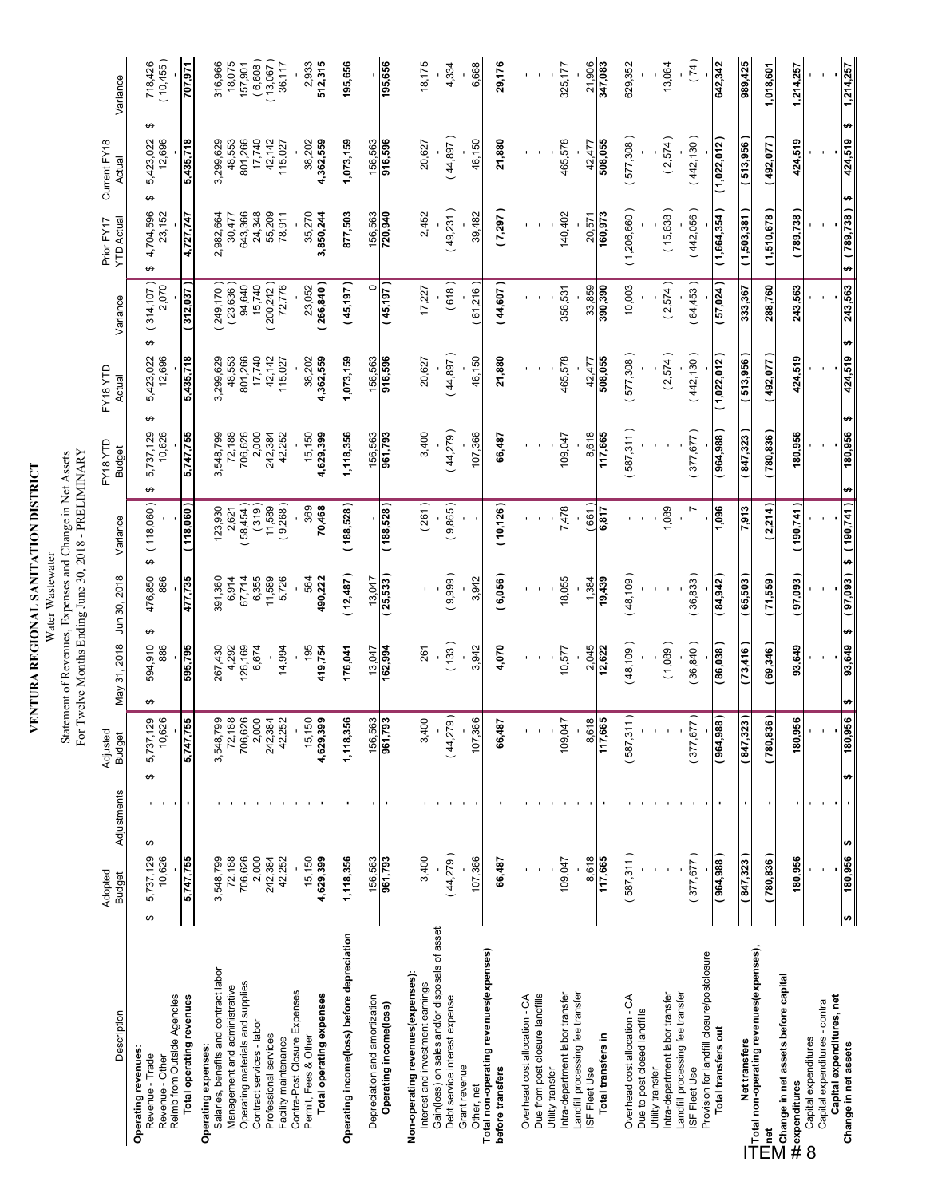#### **VENTURA REGIONAL SANITATION DISTRICT**<br>Statement of Revenues, Expenses and Change in Net Assets<br>For Twelve Months Ending June 30, 2018 - PRELIMINARY Statement of Revenues, Expenses and Change in Net Assets Water Wastewater

| Description                                                                                  | Adopted<br><b>Budget</b> | Adjustments | Adjustec<br><b>Budget</b>                 | May 31, 2018        | Jun 30, 2018        | Variance         | EY18 YTD<br><b>Budget</b> | EY18 YTD<br>Actual       | Variance                    | <b>YTD Actual</b><br>Prior FY17 | Current FY18<br>Actual        | Variance             |
|----------------------------------------------------------------------------------------------|--------------------------|-------------|-------------------------------------------|---------------------|---------------------|------------------|---------------------------|--------------------------|-----------------------------|---------------------------------|-------------------------------|----------------------|
| ↮<br>Reimb from Outside Agencies<br>Operating revenues<br>Revenue - Trade<br>Revenue - Other | 5,737,129<br>10,626      | ↮           | 10,626<br>5,737,129<br>↮                  | 594,910<br>886<br>↮ | 476,850<br>886<br>↮ | (118,060)<br>↮   | 5,737,129<br>10,626<br>↮  | 5,423,022<br>12,696<br>↮ | (314, 107)<br>2,070<br>မာ   | 4,704,596<br>23,152<br>↮        | ↮<br>5,423,022<br>12,696<br>↮ | (10, 455)<br>718,426 |
| Total operating revenues                                                                     | 5,747,755                |             | 755<br>5,747,                             | 595,795             | 477,735             | (118,060)        | 5,747,755                 | 5,435,718                | (312,037)                   | 4,727,747                       | 5,435,718                     | 707,971              |
| Salaries, benefits and contract labor<br>Operating expenses:                                 | 3,548,799                |             | 3,548,                                    | 267,430<br>4,292    | 391,360             | 123,930          | 3,548,799                 | 3,299,629                | $(249, 170)$<br>$(23, 636)$ | 2,982,664                       | 3,299,629                     | 316,966              |
| Operating materials and supplies<br>Management and administrative                            | 706,626<br>72,188        |             | <b>Page</b><br><b>Page</b><br>706,<br>72, | 126,169             | 6,914<br>67,714     | 58,454)<br>2,621 | 72,188<br>706,626         | 48,553<br>801,266        | 94,640                      | 643,366<br>30,477               | 48,553<br>801,266             | 18,075<br>157,901    |
| Contract services - labor                                                                    | 2,000                    |             | $\overline{a}$                            | 6,674               | 6,355               | (319)            | 2,000                     | 17,740                   | 15,740                      | 24,348                          | 17,740                        | (6,608)              |
| Professional services<br>Facility maintenance                                                | 242,384<br>42,252        |             | 242,384<br>42,252                         | 14,994              | 11,589<br>5,726     | 9,268)<br>11,589 | 242,384<br>42,252         | 42,142<br>115,027        | 72,776<br>200,242           | 55,209<br>78,911                | 42,142<br>115,027             | (13,067)<br>36,117   |
| Contra-Post Closure Expenses<br>Permit, Fees & Other                                         | 15,150                   |             | 150<br>$\frac{15}{1}$                     | 195                 | 564                 | 369              | 15,150                    | 38,202                   | 23.052                      | 35.270                          | 38.202                        | 2,933                |
| Total operating expenses                                                                     | 4,629,399                |             | 4,629,399                                 | 419,754             | 490,222             | 70,468           | 4,629,399                 | ,362,559                 | 266,840                     | 3,850,244                       | 4,362,559                     | 512,315              |
| Operating income(loss) before depreciation                                                   | 1,118,356                |             | 1,118,356                                 | 176,041             | (12,487)            | (188, 528)       | 1,118,356                 | 1,073,159                | (45, 197)                   | 877,503                         | 1,073,159                     | 195,656              |
| Depreciation and amortization                                                                | 156,563                  |             | 563<br>156,                               | 13,047              | 13,047              |                  | 156,563                   | 156,563                  | $\circ$                     | 156,563                         | 156,563                       |                      |
| Operating income(loss)                                                                       | 961,793                  |             | 961,793                                   | 162,994             | (25,533)            | (188, 528)       | 961,793                   | 916,596                  | (45, 197)                   | 720,940                         | 916,596                       | 195,656              |
| Non-operating revenues(expenses):<br>Interest and investment earnings                        | 3,400                    |             | 3,400                                     | 261                 |                     | (261)            | 3,400                     | 20,627                   | 17,227                      | 2,452                           | 20,627                        | 18,175               |
| Gain(loss) on sales and/or disposals of asset<br>Debt service interest expense               | (44,279)                 |             | (44,279)                                  | (133)               | (9,999)             | (9,865)          | (44,279)                  | (44, 897)                | (618)                       | (49,231)                        | (44, 897)                     | 4,334                |
| Grant revenue<br>Other, net                                                                  | 107,366                  |             | 366<br>107                                | 3,942               | 3,942               |                  | 107,366                   | 46,150                   | (61,216)                    | 39,482                          | 46,150                        | 6,668                |
| Total non-operating revenues(expenses)<br>before transfers                                   | 66,487                   |             | 66,487                                    | 4,070               | (6,056)             | (10, 126)        | 66,487                    | 21,880                   | (44, 607)                   | (7,297)                         | 21,880                        | 29,176               |
| Overhead cost allocation - CA                                                                |                          |             |                                           |                     |                     |                  |                           |                          |                             |                                 |                               |                      |
| Due from post closure landfills<br>Utility transfer                                          |                          |             |                                           |                     |                     |                  |                           |                          |                             |                                 |                               |                      |
| Intra-department labor transfer                                                              | 109,047                  |             | 109,047                                   | 10,577              | 18,055              | 7,478            | 109,047                   | 465,578                  | 356,531                     | 140,402                         | 465,578                       | 325, 177             |
| Landfill processing fee transfer<br>ISF Fleet Use                                            | 8,618                    |             | 618<br>ထ                                  | 2,045               | 1,384               | 661              | 8,618                     | 42,477                   | 33,859                      | 20,571                          | 42,477                        | 21,906               |
| Total transfers in                                                                           | 117,665                  |             | 117,665                                   | 12,622              | 19,439              | 6,817            | 117,665                   | 508,055                  | 390,390                     | 160,973                         | 508,055                       | 347,083              |
| Overhead cost allocation - CA<br>Due to post closed landfills                                | (587, 311)               |             | (587, 311)                                | (48, 109)           | (48, 109)           |                  | 587,311)                  | 577,308                  | 10,003                      | (1,206,660)                     | (577,308                      | 629,352              |
| Intra-department labor transfer<br>Utility transfer                                          |                          |             |                                           | (1,089)             |                     | 1,089            |                           | 2,574                    | (2,574)                     | (15, 638)                       | (2,574)                       | 13,064               |
| Landfill processing fee transfer<br>ISF Fleet Use                                            | (377, 677)               |             | (377, 677)                                | (36, 840)           | (36, 833)           | $\blacksquare$   | (377, 677)                | (442, 130)               | (64, 453)                   | (442,056)                       | (442, 130)                    | (74)                 |
| Provision for landfill closure/postclosure<br>Total transfers out                            | (964, 988)               |             | 188<br>(964, 9                            | (86,038)            | (84, 942)           | 1,096            | (964, 988)                | (1,022,012)              | (57, 024)                   | (1,664,354)                     | (1,022,012)                   | 642,342              |
|                                                                                              | (847, 323)               |             | (847, 323)                                | (73,416)            | (65,503)            | 7,913            | (847, 323)                | (513,956)                | 333,367                     | (1,503,381)                     | (513, 956)                    | 989,425              |
| Inet                                                                                         | (780, 836)               | ٠           | $\overline{36}$<br>(780, 8)               | (69,346)            | (71,559)            | 2,214)           | (780, 836)                | (492,077                 | 288,760                     | (1,510,678)                     | (492,077                      | 1,018,601            |
| $\geq$ Change in net assets before capital<br>#expenditures                                  | 180,956                  |             | 956<br>180,                               | 93,649              | (97,093)            | (190, 741)       | 180,956                   | 424,519                  | 243,563                     | (789,738)                       | 424,519                       | 1,214,257            |
| Capital expenditures - contra<br>Capital expenditures<br>8                                   |                          |             |                                           |                     |                     |                  |                           |                          |                             |                                 |                               |                      |
| s,<br>Capital expenditures, net<br>Change in net assets                                      | 180,956                  | ø           | 956<br>180,<br>₩                          | 83,649<br>$\bullet$ | ( 87,093 )<br>H     | \$ (190,741)     | 180,956<br>$\bullet$      | 424,519<br>₩             | 243,563<br>₩                | (789, 738)<br>$\bullet$         | ₩<br>424,519<br>↮             | 1,214,257            |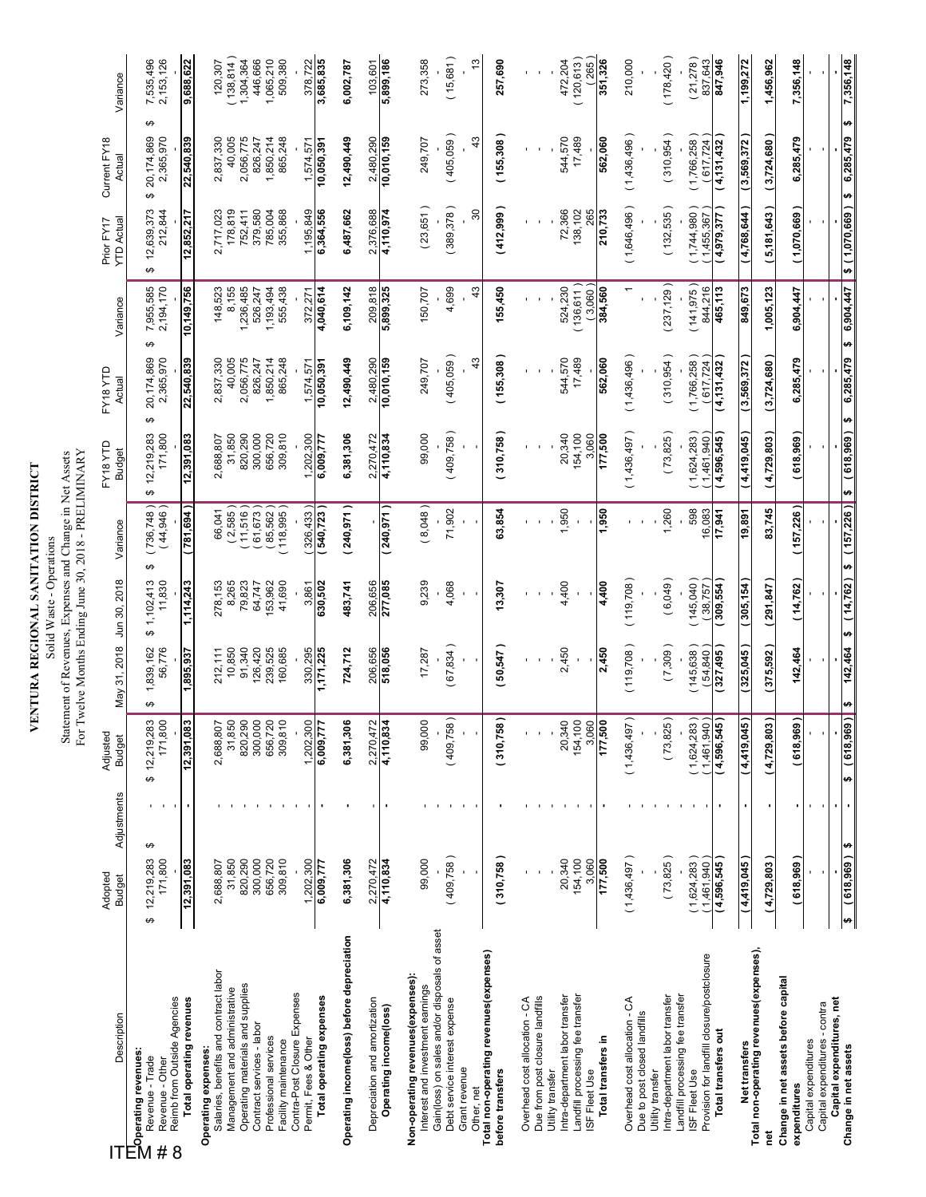| VENTURA REGIONAL SANITATION DISTRICT | $\ddot{\phantom{0}}$ |
|--------------------------------------|----------------------|
|                                      |                      |
|                                      |                      |

Solid Waste - Operations<br>Statement of Revenues, Expenses and Change in Net Assets<br>For Twelve Months Ending June 30, 2018 - PRELIMINARY Statement of Revenues, Expenses and Change in Net Assets Solid Waste - Operations

| Description                                                                                                                  | Adopted<br><b>Budget</b>   | Adjustments | Adjusted<br><b>Budget</b>      | May 31, 2018              | Jun 30, 2018             | Variance                     | FY18 YTD<br>Budget         | FY18 YTD<br>Actual           | Variance                    | Prior FY17<br><b>TD Actual</b> | Current FY18<br>Actual            | Variance               |
|------------------------------------------------------------------------------------------------------------------------------|----------------------------|-------------|--------------------------------|---------------------------|--------------------------|------------------------------|----------------------------|------------------------------|-----------------------------|--------------------------------|-----------------------------------|------------------------|
| Reimb from Outside Agencies<br>$\mathbb{T}_\textnormal{Operating revenues:}$<br>Revenue - Trade<br>Revenue - Other<br>#<br>8 | 12,219,283<br>171,800<br>↮ | ↮           | 171,800<br>33<br>\$12,219,2    | 1,839,162<br>56,776<br>မာ | 1,102,413<br>11,830<br>↮ | (736, 748)<br>(44,946)<br>ω, | 12,219,283<br>171,800<br>↮ | 2,365,970<br>20,174,869<br>↮ | 7,955,585<br>2,194,170<br>↮ | 12,639,373<br>212,844<br>↮     | ↮<br>20,174,869<br>2,365,970<br>↮ | 7,535,496<br>2,153,126 |
| Total operating revenues                                                                                                     | 12,391,083                 |             | 12,391,083                     | 1,895,937                 | 1,114,243                | <b>169'k8</b>                | 12,391,083                 | 22,540,839                   | 10,149,756                  | 12,852,217                     | 22,540,839                        | 9,688,622              |
| Salaries, benefits and contract labor<br>Operating expenses:                                                                 | 2,688,807                  |             | ΟŌ<br>2,688,8                  | 212,111                   | 8,265<br>278,153         | 66,041                       | 2,688,807                  | 2,837,330                    | 148,523                     | 2,717,023                      | 2,837,330                         | 120,307                |
| Operating materials and supplies<br>Management and administrative                                                            | 31,850<br>820,290          |             | 31,850<br>820,290              | 10,850<br>91,340          | 79,823                   | (2,585)<br>11,516            | 820,290<br>31,850          | 40,005<br>2,056,775          | 8,155<br>1,236,485          | 178,819<br>752,411             | 40,005<br>2,056,775               | 138, 814)<br>1,304,364 |
| Contract services - labor                                                                                                    | 300,000                    |             | 300,000                        | 126,420                   | 64,747                   | 61,673)                      | 300,000                    | 826,247                      | 526,247                     | 379,580                        | 826,247                           | 446,666                |
| Professional services<br>Facility maintenance                                                                                | 656,720<br>309,810         |             | 656,720<br>309,810             | 239,525<br>160,685        | 53,962<br>41,690         | (85, 562)<br>118,995)        | 656,720<br>309,810         | 1,850,214<br>865,248         | 1,193,494<br>555,438        | 355,868<br>785,004             | 865,248<br>1,850,214              | 1,065,210<br>509,380   |
| Contra-Post Closure Expenses<br>Permit, Fees & Other                                                                         | 1,202,300                  |             | $\tt S$<br>1,202,3             | 330,295                   | 3,861                    | 326,433)                     | 1,202,300                  | 1,574,571                    | 372,271                     | 1,195,849                      | 1,574,571                         | 378,722                |
| Total operating expenses                                                                                                     | 6,009,777                  |             | 77<br>6,009,7                  | 1,171,225                 | 630,502                  | (540,723                     | 6,009,777                  | 10,050,391                   | 4,040,614                   | 6,364,556                      | 10,050,391                        | 3,685,835              |
| Operating income(loss) before depreciation                                                                                   | 6,381,306                  |             | 90<br>6,381,3                  | 724,712                   | 483,741                  | (240, 971)                   | 6,381,306                  | 12,490,449                   | 6,109,142                   | 6,487,662                      | 12,490,449                        | 6,002,787              |
| Depreciation and amortization                                                                                                | 2,270,472                  |             | 72<br>2,270,4                  | 206,656                   | 206,656                  |                              | 2,270,472                  | 2,480,290                    | 209,818                     | 2,376,688                      | 2,480,290                         | 103,601                |
| Operating income(loss)                                                                                                       | 4,110,834                  |             | 4,110,834                      | 518,056                   | 277,085                  | (240, 971)                   | 4,110,834                  | 10,010,159                   | 5,899,325                   | 4,110,974                      | 10,010,159                        | 5,899,186              |
| Non-operating revenues (expenses):<br>Interest and investment earnings                                                       | 99,000                     |             | 9<br>99,0                      | 17,287                    | 9,239                    | (8,048)                      | 99,000                     | 249,707                      | 150,707                     | (23, 651)                      | 249,707                           | 273,358                |
| Gain(loss) on sales and/or disposals of asset:<br>Debt service interest expense                                              | (409,758)                  |             | (409,758)                      | 67,834)                   | 4,068                    | 71,902                       | (409,758)                  | (405,059)                    | 4,699                       | (389, 378)                     | (405,059)                         | (15,681)               |
| Grant revenue<br>Other, net                                                                                                  |                            |             |                                |                           |                          |                              |                            | 43                           | 43                          | $\boldsymbol{S}$               | 43                                | $\frac{3}{2}$          |
| Total non-operating revenues(expenses)<br>before transfers                                                                   | (310, 758)                 |             | (310,758)                      | (50,547)                  | 13,307                   | 63,854                       | (310,758)                  | (155,308)                    | 155,450                     | (412,999)                      | (155,308                          | 257,690                |
|                                                                                                                              |                            |             |                                |                           |                          |                              |                            |                              |                             |                                |                                   |                        |
| Due from post closure landfills<br>Overhead cost allocation - CA                                                             |                            |             |                                |                           |                          |                              |                            |                              |                             |                                |                                   |                        |
| Utility transfer                                                                                                             |                            |             |                                |                           |                          |                              |                            |                              |                             |                                |                                   |                        |
| Landfill processing fee transfer<br>Intra-department labor transfer                                                          | 20,340<br>154,100          |             | 154,100<br>20,340              | 2,450                     | 4,400                    | 1,950                        | 20,340<br>154,100          | 544,570<br>17,489            | 136,611)<br>524,230         | 72,366<br>138,102              | 544,570<br>17,489                 | (120, 613)<br>472,204  |
| ISF Fleet Use                                                                                                                | 3,060                      |             | 3,060                          |                           |                          |                              | 3,060                      |                              | (3,060)                     | 265                            |                                   | 265                    |
| Total transfers in                                                                                                           | 177,500                    |             | 177,500                        | 2,450                     | 4,400                    | 1,950                        | 177,500                    | 562,060                      | 384,560                     | 210,733                        | 562,060                           | 351,326                |
| Overhead cost allocation - CA                                                                                                | (1,436,497)                |             | (1,436,497)                    | (119, 708)                | (119, 708)               |                              | (1,436,497)                | (1,436,496)                  |                             | (1,646,496)                    | (1,436,496)                       | 210,000                |
| Due to post closed landfills<br>Utility transfer                                                                             |                            |             |                                |                           |                          |                              |                            |                              |                             |                                |                                   |                        |
| Intra-department labor transfer                                                                                              | (73,825)                   |             | (73,825)                       | (7,309)                   | (6,049)                  | 1,260                        | (73,825)                   | (310, 954)                   | (237, 129)                  | (132, 535)                     | (310, 954)                        | (178, 420)             |
| Provision for landfill closure/postclosure<br>Landfill processing fee transfer<br><b>ISF Fleet Use</b>                       | 1,624,283)<br>1,461,940    |             | $(1,624,283)$<br>$(1,461,940)$ | (145, 638)<br>54,840      | (145,040)<br>(38,757)    | 598<br>16,083                | 1,624,283<br>1,461,940     | (1,766,258)<br>(617,724      | 844,216<br>(141, 975)       | (1,744,980)<br>1,455,367       | (1,766,258)<br>(617, 724)         | 837,643<br>(21,278)    |
| Total transfers out                                                                                                          | 4,596,545                  |             | 4,596,545)                     | 327,495                   | 309,554                  | 17,941                       | 4,596,545                  | (4, 131, 432)                | 465,113                     | 4,979,377                      | 4,131,432                         | 847,946                |
|                                                                                                                              | (4,419,045)                |             | 4,419,045)                     | 325,045                   | 305,154                  | 19,891                       | 4,419,045                  | 3,569,372                    | 849,673                     | 4,768,644                      | 3,569,372                         | 1,199,272              |
| Net transfers<br>Total non-operating revenues(expenses),<br>ē                                                                | (4,729,803)                |             | (4,729,803)                    | (375,592)                 | (291, 847)               | 83,745                       | (4,729,803)                | (3,724,680)                  | 1,005,123                   | (5, 181, 643)                  | (3,724,680)                       | 1,456,962              |
| Change in net assets before capital<br>expenditures                                                                          | (618,969)                  |             | (618,969)                      | 142,464                   | (14, 762)                | (157,226)                    | (618,969)                  | 6,285,479                    | 6,904,447                   | (1,070,669)                    | 6,285,479                         | 7,356,148              |
| Capital expenditures - contra<br>Capital expenditures                                                                        |                            |             |                                |                           |                          |                              |                            |                              |                             |                                |                                   |                        |
| Capital expenditures, net                                                                                                    |                            |             |                                |                           |                          |                              |                            |                              |                             |                                |                                   |                        |
| Change in net assets                                                                                                         | (618, 969)<br>₩            | <b>U)</b>   | $618,969$ $\frac{1}{3}$<br>₩   | 142,464                   | (14, 762)<br>₩           | (157, 226)<br>↮              | (618, 969)<br>$\bullet$    | 6,285,479<br>↮               | 6,904,447<br>↮              | \$(1,070,669)                  | ₩<br>6,285,479<br>↮               | 7,356,148              |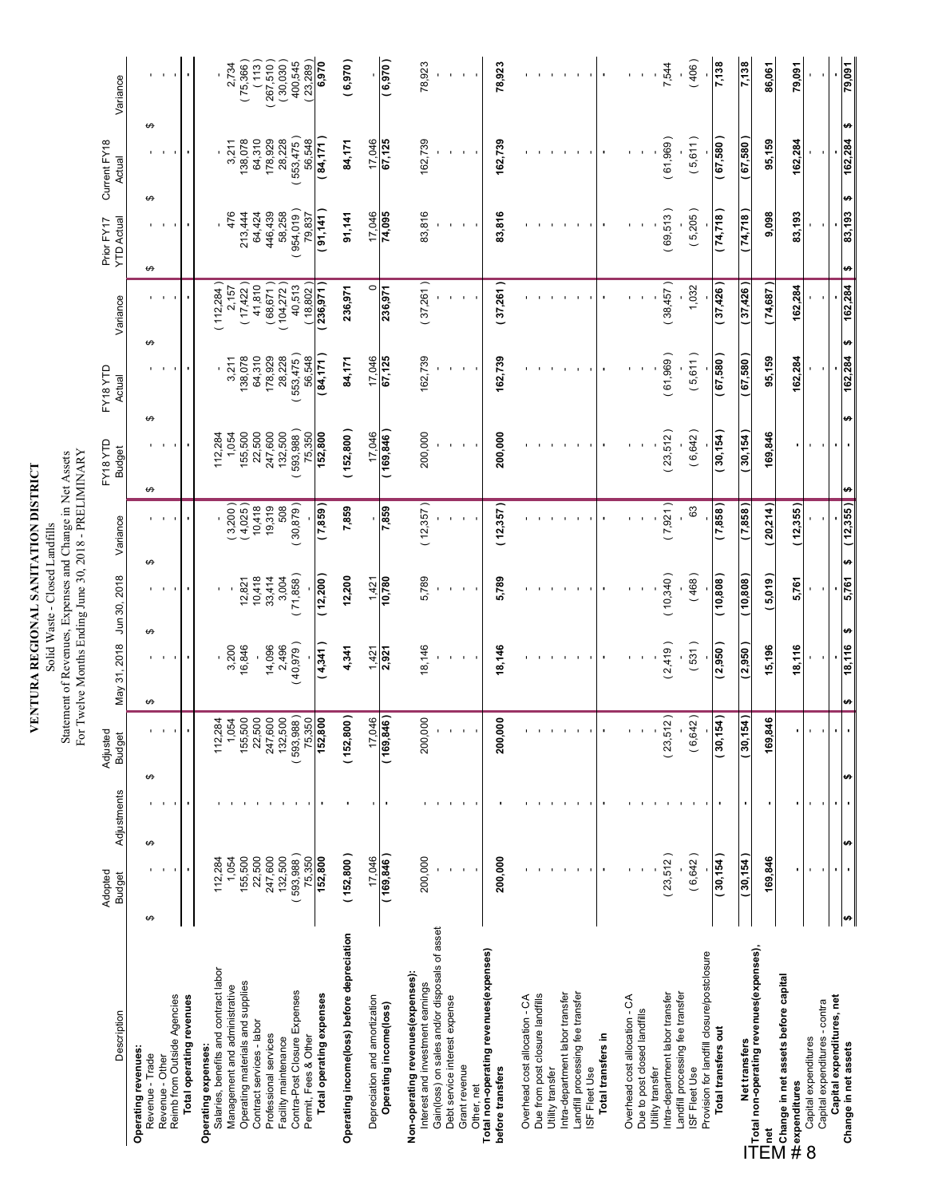**VENTURA REGIONAL SANITATION DISTRICT**<br>Solid Waste - Closed Landfills<br>Statement of Revenues, Expenses and Change in Net Assets<br>For Twelve Months Ending June 30, 2018 - PRELIMINARY For Twelve Months Ending June 30, 2018 - PRELIMINARY Statement of Revenues, Expenses and Change in Net Assets Solid Waste - Closed Landfills

| Description                                                                               | Adopted<br><b>Budget</b> | Adjustments | Adjusted<br>Budget<br>Budget | May 31, 2018 Jun 30, 2018 |                  | Variance               | FY18YTD<br><b>Budget</b> | EY18YTD<br>Actual  | Variance             | <b>YTD Actual</b><br>Prior FY17 | Current FY18<br>Actual | Variance                  |
|-------------------------------------------------------------------------------------------|--------------------------|-------------|------------------------------|---------------------------|------------------|------------------------|--------------------------|--------------------|----------------------|---------------------------------|------------------------|---------------------------|
| Operating revenues:                                                                       |                          |             |                              |                           |                  |                        |                          |                    |                      |                                 |                        |                           |
| ↮<br>Revenue - Trade                                                                      | ↮                        |             | ↮                            | ↮                         | ↮                | ↮                      | ↮<br>↮                   |                    | ↮                    | ↮<br>↮                          | ↮                      |                           |
| Reimb from Outside Agencies<br>Revenue - Other                                            |                          |             |                              |                           |                  |                        |                          |                    |                      |                                 |                        |                           |
| Total operating revenues                                                                  |                          |             |                              |                           |                  |                        |                          |                    |                      |                                 |                        |                           |
| Salaries, benefits and contract labor<br>Operating expenses:                              | 112,284                  |             | 112,                         |                           |                  |                        | 112,284                  |                    | 112,284)             |                                 |                        |                           |
| Management and administrative                                                             | 1,054                    |             | 284<br>54                    | 3,200                     |                  | $(3,200)$<br>$(4,025)$ | 1,054                    | 3,211              | 2,157                | 476                             | 3,211                  | 2,734                     |
| Operating materials and supplies                                                          | 155,500                  |             | ,500<br>155,                 | 16,846                    | 12,821           |                        | 155,500                  | 138,078            | $(17,422)$<br>41,810 | 213,444                         | 138,078                | (75,366)                  |
| Contract services - labor                                                                 | 22,500<br>247,600        |             | 500<br>247,600<br>22,        |                           | 10,418<br>33,414 | $10,418$<br>$19,319$   | 22,500<br>247,600        | 64,310<br>178,929  | (68, 671)            | 64,424<br>446,439               | 64,310<br>178,929      | (113)                     |
| Professional services<br>Facility maintenance                                             | 132,500                  |             | 132,500                      | 14,096<br>2,496           | 3,004            | 508                    | 132,500                  | 28,228             | 104,272              | 58,258                          | 28,228                 | $(267,510)$<br>$(30,030)$ |
| Contra-Post Closure Expenses<br>Permit, Fees & Other                                      | (593,988)                |             | 593,988)<br>75,350           | (40, 979)                 | (71,858)         | (30, 879)              | 593,988)<br>75,350       | 553,475)<br>56,548 | 40,513               | 954,019<br>79,837               | 553,475)<br>56,548     | 23,289)<br>400,545        |
| Total operating expenses                                                                  | 75,350<br>152,800        |             | 152,800                      | 4,341                     | (12, 200)        | $( 698^{\prime}$       | 152,800                  | (84, 171)          | 18,802)<br>236,971   | 141, 141                        | (84, 171)              | 6,970                     |
| Operating income(loss) before depreciation                                                | (152, 800)               |             | $ 800\rangle$<br>(152)       | 4,341                     | 12,200           | 7,859                  | (152, 800)               | 84,171             | 236,971              | 91,141                          | 84,171                 | (6, 970)                  |
| Depreciation and amortization                                                             | 17,046                   |             | ,046<br>17.                  | 1,421                     | 1,421            |                        | 17,046                   | 17,046             | $\circ$              | 17,046                          | 17,046                 |                           |
| Operating income(loss)                                                                    | (169, 846)               |             | (169, 846)                   | 2,921                     | 10,780           | 598'Z                  | (169, 846)               | 67,125             | 236,971              | 74,095                          | 67,125                 | (6, 970)                  |
| Non-operating revenues(expenses):<br>Interest and investment earnings                     | 200,000                  |             | ,000<br>200,                 | 18,146                    | 5,789            | (12, 357)              | 200,000                  | 162,739            | (37,261)             | 83,816                          | 162,739                | 78,923                    |
| Gain(loss) on sales and/or disposals of asset                                             |                          |             |                              |                           |                  |                        |                          |                    |                      |                                 |                        |                           |
| Debt service interest expense                                                             |                          |             |                              |                           |                  |                        |                          |                    |                      |                                 |                        |                           |
| Grant revenue<br>Other, net                                                               |                          |             |                              |                           |                  |                        |                          |                    |                      |                                 |                        |                           |
| Total non-operating revenues (expenses)                                                   |                          |             |                              |                           |                  |                        |                          |                    |                      |                                 |                        |                           |
| before transfers                                                                          | 200,000                  |             | 200,000                      | 18,146                    | 5,789            | (12, 357)              | 200,000                  | 162,739            | (37,261)             | 83,816                          | 162,739                | 78,923                    |
| Overhead cost allocation - CA                                                             |                          |             |                              |                           |                  |                        |                          |                    |                      |                                 |                        |                           |
| Due from post closure landfills<br>Utility transfer                                       |                          |             |                              |                           |                  |                        |                          |                    |                      |                                 |                        |                           |
| Intra-department labor transfer                                                           |                          |             |                              |                           |                  |                        |                          |                    |                      |                                 |                        |                           |
| Landfill processing fee transfer<br>ISF Fleet Use                                         |                          |             |                              |                           |                  |                        |                          |                    |                      |                                 |                        |                           |
| Total transfers in                                                                        |                          |             |                              |                           |                  |                        |                          |                    |                      |                                 |                        |                           |
|                                                                                           |                          |             |                              |                           |                  |                        |                          |                    |                      |                                 |                        |                           |
| Overhead cost allocation - CA<br>Due to post closed landfills                             |                          |             |                              |                           |                  |                        |                          |                    |                      |                                 |                        |                           |
| Utility transfer                                                                          |                          |             |                              |                           |                  |                        |                          |                    |                      |                                 |                        |                           |
| Intra-department labor transfer                                                           | (23,512)                 |             | (23,512)                     | (2,419)                   | (10,340)         | (7,921)                | (23,512)                 | (61,969)           | (38,457)             | (69, 513)                       | (61,969)               | 7,544                     |
| Landfill processing fee transfer<br>ISF Fleet Use                                         | (6,642)                  |             | (6, 642)                     | (531)                     | (468)            | 63                     | (6, 642)                 | (5,611)            | 1,032                | (5,205)                         | (5,611)                | (406)                     |
| Provision for landfill closure/postclosure<br>Total transfers out                         | (30, 154)                |             | $ 54\rangle$<br>(30,         | (2,950)                   | (10, 808)        | (7,858)                | (30, 154)                | (67, 580)          | (37, 426)            | (74,718)                        | (67, 580)              | 7,138                     |
|                                                                                           |                          |             |                              |                           |                  |                        |                          |                    |                      |                                 |                        |                           |
| ייטווייטו וואס בעריינייטוב.<br>—Trotal non-operating revenues(expenses),<br>Net transfers | (30, 154)                |             | (154)<br>(30,                | (2,950)                   | (308,01)         | ( 7,858 )              | (30, 154)                | (67,580)           | (37, 426)            | (74,718)                        | (67,580)               | 7,138                     |
| <u>inet</u>                                                                               | 169,846                  |             | 846<br>$\frac{69}{2}$        | 15,196                    | (5,019)          | (20,214)               | 169,846                  | 95,159             | (74,687)             | 9,098                           | 95,159                 | 86,061                    |
| Schange in net assets before capital<br>#expenditures                                     |                          |             |                              | 18,116                    | 5,761            | (12, 355)              |                          | 162,284            | 162,284              | 83,193                          | 162,284                | 79,091                    |
| Capital expenditures<br>8                                                                 |                          |             |                              |                           |                  |                        |                          |                    |                      |                                 |                        |                           |
| Capital expenditures - contra                                                             |                          |             |                              |                           |                  |                        |                          |                    |                      |                                 |                        |                           |
| Capital expenditures, net<br>Change in net assets                                         | H                        |             | <b>SA</b>                    | 18,116<br>₩               | 5,761<br>₩       | (12,355)<br>₩          | s<br>$\bullet$           | ø<br>162,284       | 162,284              | ₩<br>83,193<br>$\bullet$        | ø<br>162,284           | 79,091                    |
|                                                                                           |                          |             |                              |                           |                  |                        |                          |                    |                      |                                 |                        |                           |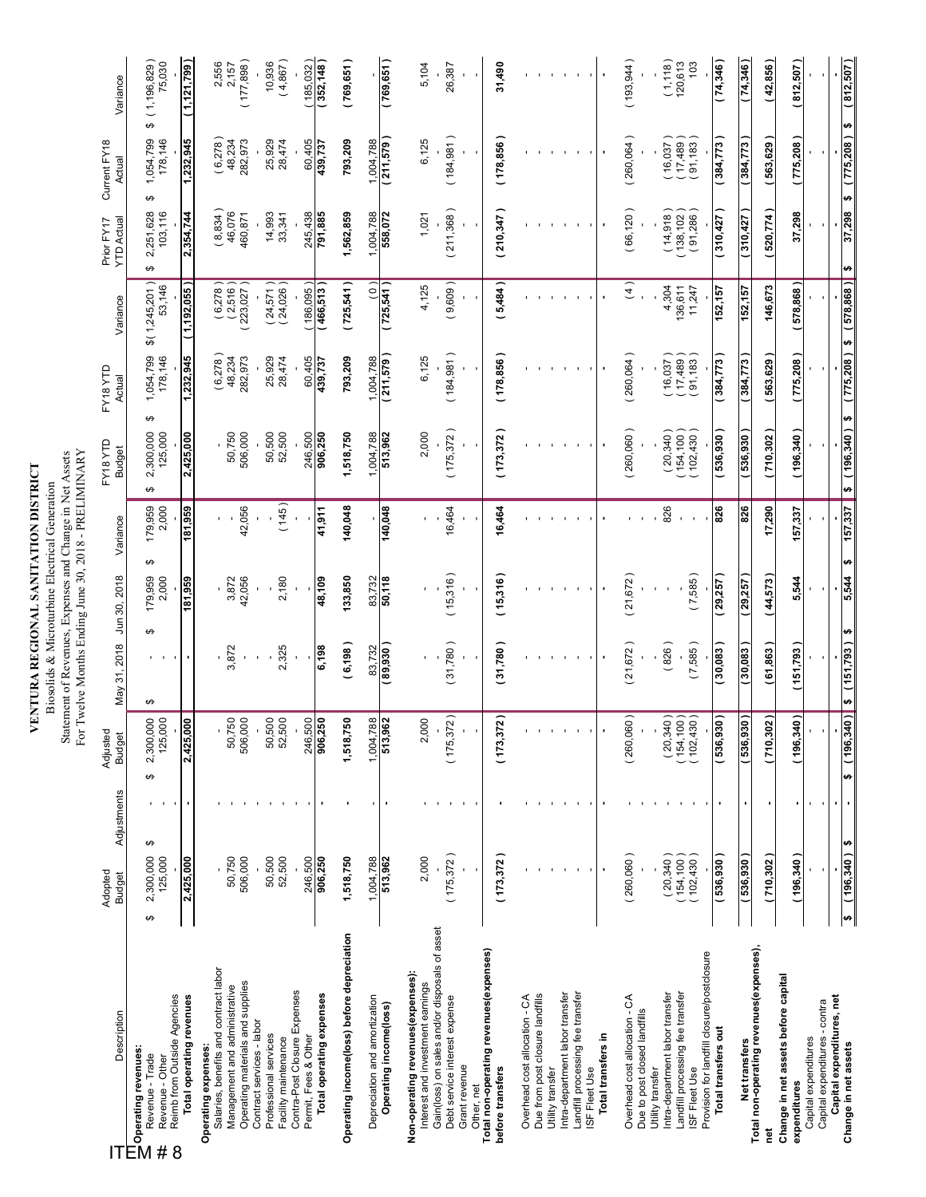### VENTURA REGIONAL SANITATION DISTRICT **VENTURA REGIONAL SANITATION DISTRICT**

Biosolids & Microturbine Electrical Generation<br>Statement of Revenues, Expenses and Change in Net Assets<br>For Twelve Months Ending June 30, 2018 - PRELIMINARY Statement of Revenues, Expenses and Change in Net Assets Biosolids & Microturbine Electrical Generation

| Description                                                                                                                             | Adopted<br><b>Budget</b>              | Adjustments | Adjusted<br><b>Budget</b>                                         | May 31, 2018               | Jun 30, 2018          | Variance              | EY18YTD<br><b>Budget</b>  | EY18 YTD<br>Actual        | Variance                 | <b>YTD Actual</b><br>Prior FY17 | Current FY18<br>Actual         | Variance              |
|-----------------------------------------------------------------------------------------------------------------------------------------|---------------------------------------|-------------|-------------------------------------------------------------------|----------------------------|-----------------------|-----------------------|---------------------------|---------------------------|--------------------------|---------------------------------|--------------------------------|-----------------------|
| Reimb from Outside Agencies<br><b>TTT</b><br>2 Operating revenues:<br>2 Revenue - Trade<br>Revenue - Trade<br>Revenue - Other<br>#<br>8 | ↮<br>2,300,000<br>125,000<br>$\Theta$ |             | 2,300,000<br>↮                                                    | ↮                          | 179,959<br>2,000<br>↮ | 179,959<br>2,000<br>↮ | 125,000<br>2,300,000<br>↮ | 1,054,799<br>178,146<br>↮ | \$(1,245,201)<br>53,146  | 2,251,628<br>103,116<br>↮       | ↮<br>1,054,799<br>178,146<br>↮ | (1,196,829)<br>75,030 |
| Total operating revenues                                                                                                                | 2,425,000                             |             | 2,425,000                                                         |                            | 81,959                | 181,959               | 2,425,000                 | 1,232,945                 | (1, 192, 055)            | 2,354,744                       | 1,232,945                      | (1,121,799)           |
| Salaries, benefits and contract labor<br>Operating expenses:                                                                            |                                       |             |                                                                   |                            |                       |                       |                           | $(6,278)$<br>48,234       | $(6,278)$<br>$(2,516)$   | $(8,834)$<br>46,076             | (6,278)                        | 2,556<br>2,157        |
| Operating materials and supplies<br>Management and administrative                                                                       | 50,750<br>506,000                     |             | 50,750<br>506,000                                                 | 3,872                      | 42,056<br>3,872       | 42,056                | 50,750<br>506,000         | 282,973                   | (223,027)                | 460,871                         | 48,234<br>282,973              | (177, 898)            |
| Contract services - labor<br>Professional services                                                                                      | 50,500                                |             | 50,500<br>52,500                                                  |                            |                       |                       | 50,500                    | 25,929                    | $(24,571)$<br>$(24,026)$ | 14,993                          | 25,929                         | 10,936                |
| Contra-Post Closure Expenses<br>Permit, Fees & Other<br>Facility maintenance                                                            | 246,500<br>52,500                     |             |                                                                   | 2,325                      | 2,180                 | (145)                 | 52,500<br>246,500         | 60,405<br>28,474          | 186,095)                 | 245,438<br>33,341               | 60,405<br>28,474               | (4,867)<br>185,032    |
| Total operating expenses                                                                                                                | 906,250                               |             | 246,500<br>906,250                                                | 6,198                      | 48,109                | 41,911                | 906,250                   | 439,737                   | (466,513                 | 791,885                         | 439,737                        | (352,148              |
| Operating income(loss) before depreciation                                                                                              | 1,518,750                             |             | 1,518,750                                                         | (6, 198)                   | 133,850               | 140,048               | 1,518,750                 | 793,209                   | (725, 541)               | 1,562,859                       | 793,209                        | (769, 651)            |
| Depreciation and amortization                                                                                                           | 1,004,788                             |             | $\frac{1,004,788}{513,962}$                                       | 83,732                     | 83,732                |                       | 1,004,788                 | 1,004,788                 | $\frac{1}{2}$            | 1,004,788                       | 1,004,788                      |                       |
| Operating income(loss)                                                                                                                  | 513,962                               |             |                                                                   | (89, 930)                  | 50,118                | 140,048               | 513,962                   | (211,579)                 | (725, 541)               | 558,072                         | (211, 579)                     | (769, 651)            |
| Non-operating revenues (expenses):<br>Interest and investment earnings                                                                  | 2,000                                 |             | 2,000                                                             |                            |                       |                       | 2,000                     | 6,125                     | 4,125                    | 1,021                           | 6,125                          | 5,104                 |
| Gain(loss) on sales and/or disposals of asset<br>Debt service interest expense                                                          | (175, 372)                            |             | (175, 372)                                                        | 31,780)                    | (15,316)              | 16,464                | (175, 372)                | (184, 981)                | (9,609)                  | (211,368)                       | (184, 981)                     | 26,387                |
| Grant revenue<br>Other, net                                                                                                             |                                       |             |                                                                   |                            |                       |                       |                           |                           |                          |                                 |                                |                       |
| Total non-operating revenues(expenses)                                                                                                  |                                       |             |                                                                   |                            |                       |                       |                           |                           |                          |                                 |                                |                       |
| before transfers                                                                                                                        | (173, 372)                            |             | $\frac{1}{2}$<br>(173, 37                                         | (31,780)                   | (15,316)              | 16,464                | (173, 372)                | (178, 856)                | (5,484)                  | (210, 347)                      | (178, 856)                     | 31,490                |
| Due from post closure landfills<br>Overhead cost allocation - CA                                                                        |                                       |             |                                                                   |                            |                       |                       |                           |                           |                          |                                 |                                |                       |
| Utility transfer                                                                                                                        |                                       |             |                                                                   |                            |                       |                       |                           |                           |                          |                                 |                                |                       |
| Intra-department labor transfer                                                                                                         |                                       |             |                                                                   |                            |                       |                       |                           |                           |                          |                                 |                                |                       |
| Landfill processing fee transfer<br>ISF Fleet Use                                                                                       |                                       |             |                                                                   |                            |                       |                       |                           |                           |                          | $\mathbf{I}$                    |                                |                       |
| Total transfers in                                                                                                                      |                                       |             |                                                                   |                            |                       |                       |                           |                           |                          |                                 |                                |                       |
| Overhead cost allocation - CA                                                                                                           | (260,060)                             |             | (260,060)                                                         | (21, 672)                  | (21, 672)             |                       | (260,060)                 | (260,064)                 | (4)                      | (66, 120)                       | (260,064)                      | (193, 944)            |
| Due to post closed landfills<br>Utility transfer                                                                                        |                                       |             |                                                                   |                            |                       |                       |                           |                           |                          |                                 |                                |                       |
| Intra-department labor transfer<br>Landfill processing fee transfer                                                                     | (20, 340)<br>(154, 100)               |             | $\begin{array}{c} (20,340) \\ (154,100) \\ (102,430) \end{array}$ | (826)                      |                       | 826                   | (20, 340)<br>(154, 100)   | 16,037)<br>(17, 489)      | 4,304<br>136,611         | (14,918)<br>(138, 102)          | (17, 489)<br>16,037            | (1, 118)<br>120,613   |
| Provision for landfill closure/postclosure<br>ISF Fleet Use                                                                             | (102, 430)                            |             |                                                                   | (7,585)                    | (7,585)               |                       | (102, 430)                | (91, 183)                 | 11,247                   | (91,286)                        | (91, 183)                      | 103                   |
| Total transfers out                                                                                                                     | (536, 930)                            |             | l ( o:<br>(536, 93)                                               | 30,083)                    | (29, 257)             | 826                   | (536, 350)                | 384,773                   | 152,157                  | 310,427                         | 384,773                        | (74,346)              |
| Net transfers                                                                                                                           | (536, 930)                            |             | (536, 930)                                                        | 30,083                     | 29,257                | 826                   | 536,930                   | 384,773                   | 152,157                  | 310,427                         | 384,773                        | (74,346)              |
| Total non-operating revenues(expenses),<br>īet                                                                                          | (710, 302)                            |             | $\frac{1}{2}$<br>0,30,710                                         | (61,863)                   | (44,573)              | 17,290                | (710,302)                 | 563,629)                  | 146,673                  | 520,774                         | 563,629                        | (42, 856)             |
| Change in net assets before capital<br>expenditures                                                                                     | (196, 340)                            |             | (196, 340)                                                        | (151,793                   | 5,544                 | 157,337               | (196, 340)                | 775,208)                  | (578,868)                | 37,298                          | 775,208)                       | (812,507)             |
| Capital expenditures - contra<br>Capital expenditures                                                                                   |                                       |             |                                                                   |                            |                       |                       |                           |                           |                          |                                 |                                |                       |
| Capital expenditures, net                                                                                                               |                                       |             |                                                                   |                            |                       |                       |                           |                           |                          |                                 |                                |                       |
| Change in net assets                                                                                                                    | ₩<br>(196, 340)<br>b)                 |             | ₩                                                                 | $(196,340)$ \$ $(151,793)$ | 5,544<br>₩            | 157,337<br>₩          | (196, 340)<br>$\bullet$   | (775,208)<br>44           | (578,868)<br>ø           | 37,298<br>$\bullet$             | H<br>(775,208)<br>ø            | (812, 507)            |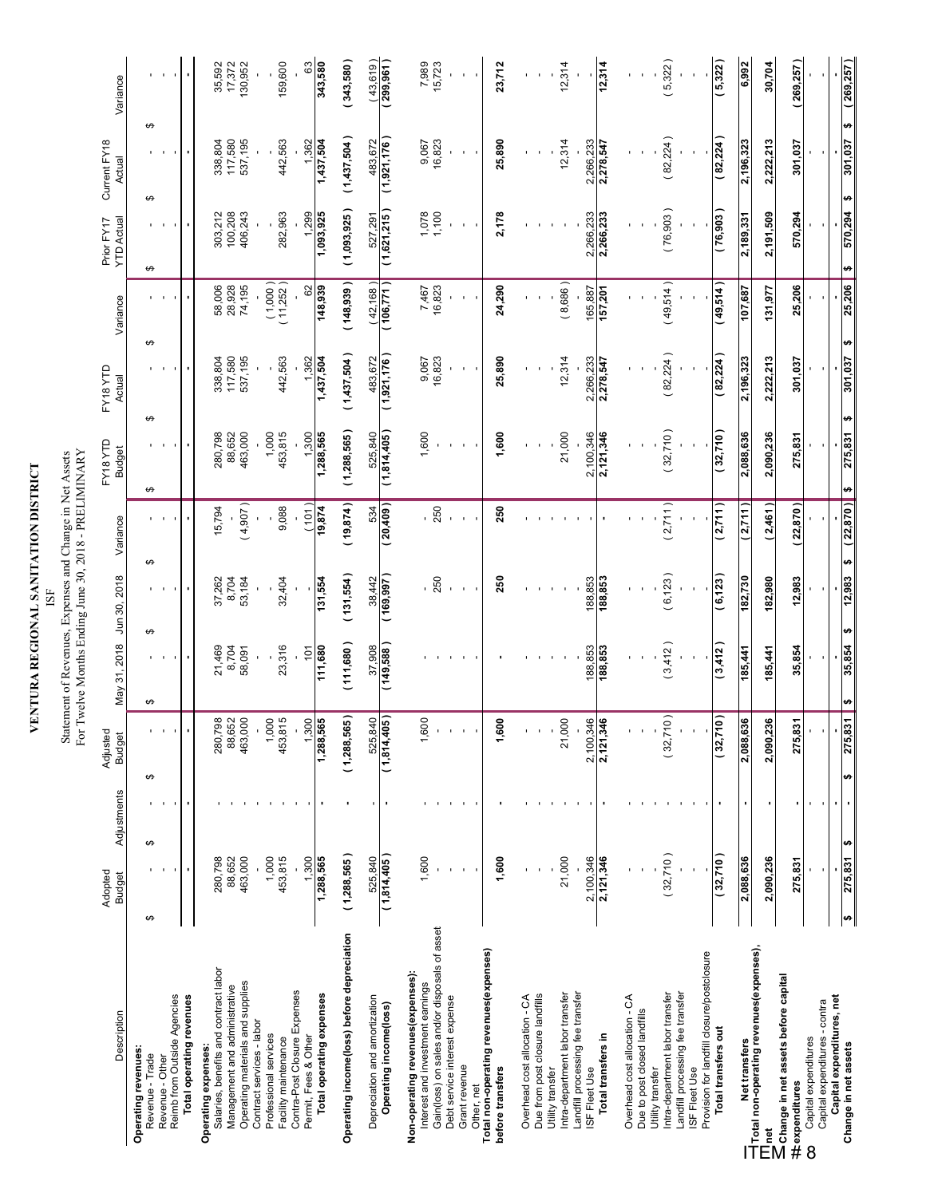### VENTURA REGIONAL SANITATION DISTRICT **VENTURA REGIONAL SANITATION DISTRICT**

Statement of Revenues, Expenses and Change in Net Assets<br>For Twelve Months Ending June 30, 2018 - PRELIMINARY Statement of Revenues, Expenses and Change in Net Assets For Twelve Months Ending June 30, 2018 - PRELIMINARY

| Description                                                                       | Adopted<br><b>Budget</b> | Adjustments    | Adjusted<br><b>Budget</b>                     | May 31, 2018    | Jun 30, 2018  | Variance        | FY18 YTD<br><b>Budget</b> | FY18 YTD<br>Actual            | Variance                | <b>YTD Actual</b><br>Prior FY17 | Current FY18<br>Actual | Variance                  |
|-----------------------------------------------------------------------------------|--------------------------|----------------|-----------------------------------------------|-----------------|---------------|-----------------|---------------------------|-------------------------------|-------------------------|---------------------------------|------------------------|---------------------------|
| Operating revenues:                                                               | ↮<br>↮                   |                |                                               |                 |               |                 |                           |                               |                         |                                 |                        |                           |
| Revenue - Trade<br>Revenue - Other                                                |                          |                | ↮                                             | ↮               | ↮             | ↮               | ↮<br>↮                    |                               | ↮                       | ↮                               | ↮<br>↮                 |                           |
| Reimb from Outside Agencies                                                       |                          |                |                                               |                 |               |                 |                           |                               |                         |                                 |                        |                           |
| Total operating revenues                                                          |                          |                |                                               |                 |               |                 |                           |                               |                         |                                 |                        |                           |
| Salaries, benefits and contract labor<br>Operating expenses:                      | 280,798                  |                |                                               |                 | 37,262        | 15,794          | 280,798                   | 338,804                       | 58,006                  | 303,212                         | 338,804                |                           |
| Management and administrative                                                     | 88,652                   |                | 280,798<br>88,652<br>463,000                  | 21,469<br>8,704 | 8,704         |                 | 88,652                    | 117,580                       | 28,928                  | 100,208                         | 117,580                | 35,592<br>17,372          |
| Operating materials and supplies<br>Contract services - labor                     | 463,000                  |                | $\blacksquare$                                | 58,091          | 53,184        | (4,907)         | 463,000                   | 537,195                       | 74,195                  | 406,243                         | 537,195                | 130,952                   |
| Professional services                                                             | 1,000                    |                | 1,000                                         |                 |               |                 | 1,000                     |                               | $(1,000)$<br>$(11,252)$ |                                 |                        |                           |
| Contra-Post Closure Expenses<br>Facility maintenance                              | 453,815                  |                | 453,815<br>$\mathbf{r}$                       | 23,316          | 32,404        | 9,088           | 453,815                   | 442,563                       |                         | 282,963                         | 442,563                | 159,600                   |
| Permit, Fees & Other                                                              | 1,300                    |                | 1,288,565                                     | 101             |               | (101)           | $1,300$<br>1,288,565      | $1,362$<br>1,437,504          | $\frac{62}{148,939}$    | $1,299$<br>1,093,925            | $1,362$<br>1,437,504   | $\boldsymbol{\mathbb{S}}$ |
| Total operating expenses                                                          | 1,288,565                |                |                                               | 111,680         | 131,554       | 19,874          |                           |                               |                         |                                 |                        | 343,580                   |
| Operating income(loss) before depreciation                                        | (1,288,565)              |                | (1,288,565)                                   | (111,680)       | (131, 554)    | (19, 874)       | (1,288,565)               | (1,437,504)                   | (148, 939)              | (1,093,925)                     | (1,437,504)            | (343,580)                 |
| Depreciation and amortization                                                     | 525.840                  |                | 525,840                                       | 37,908          | 38,442        | 534             | 525,840                   | 483,672                       | (42, 168)               | 527,291                         | 483,672                | (43,619)                  |
| Operating income(loss)                                                            | (1,814,405)              |                | (1,814,405)                                   | (149, 588)      | ( 169,87      | (20, 409)       | (1,814,405)               | (1,921,176)                   | (106, 771)              | (1,621,215)                     | (1,921,176)            | (299, 961)                |
| Non-operating revenues (expenses):                                                |                          |                |                                               |                 |               |                 |                           |                               |                         |                                 |                        |                           |
| Gain(loss) on sales and/or disposals of asset<br>Interest and investment earnings | 1,600                    |                | 1,600                                         |                 | 250           | $-250$          | 1,600                     | 16,823<br>9,067               | 7,467<br>16,823         | 1,078                           | 16,823<br>9,067        | 7,989<br>15,723           |
| Debt service interest expense                                                     |                          |                |                                               |                 |               |                 |                           |                               |                         |                                 |                        |                           |
| Grant revenue<br>Other, net                                                       |                          |                |                                               |                 |               |                 |                           |                               |                         |                                 |                        |                           |
| Total non-operating revenues(expenses)<br>before transfers                        | 1,600                    |                | 600<br>÷                                      |                 | 250           | 250             | 1,600                     | 25,890                        | 24,290                  | 2,178                           | 25,890                 | 23,712                    |
|                                                                                   |                          |                |                                               |                 |               |                 |                           |                               |                         |                                 |                        |                           |
| Overhead cost allocation - CA                                                     |                          |                |                                               |                 |               |                 |                           |                               |                         |                                 |                        |                           |
| Due from post closure landfills<br>Utility transfer                               |                          |                |                                               |                 |               |                 |                           |                               |                         |                                 |                        |                           |
| Intra-department labor transfer                                                   | 21,000                   |                | 21,000                                        |                 |               |                 | 21,000                    | 12,314                        | (8,686)                 |                                 | 12,314                 | 12,314                    |
| Landfill processing fee transfer<br>ISF Fleet Use                                 | 2,100,346                |                | $\frac{2,100,346}{2,121,346}$<br>$\mathbf{r}$ | 188,853         | 188,853       |                 | 2,100,346                 |                               | 165,887                 | 2,266,233                       | 2,266,233              |                           |
| Total transfers in                                                                | 2,121,346                |                |                                               | 188,853         | 188,853       |                 | 2,121,346                 | $\frac{2,266,233}{2,278,547}$ | 157,201                 | 2,266,233                       | 2,278,547              | 12,314                    |
| Overhead cost allocation - CA                                                     |                          |                |                                               |                 |               |                 |                           |                               |                         |                                 |                        |                           |
| Due to post closed landfills                                                      |                          |                |                                               |                 |               |                 |                           |                               |                         |                                 |                        |                           |
| Intra-department labor transfer<br>Utility transfer                               | (32,710)                 |                | 710)<br>(32,                                  | (3,412)         | (6, 123)      | (2,711)         | (32,710)                  | (82, 224)                     | (49,514)                | (76,903)                        | (82, 224)              | (5,322)                   |
| Landfill processing fee transfer                                                  |                          |                |                                               |                 |               |                 |                           |                               |                         |                                 |                        |                           |
| Provision for landfill closure/postclosure<br>ISF Fleet Use                       |                          |                |                                               |                 |               |                 |                           |                               |                         |                                 |                        |                           |
| Total transfers out                                                               | (32,710)                 |                | (017)<br>(32,                                 | (3,412)         | (6, 123)      | (2,711)         | (32,710)                  | (82, 224)                     | (49, 514)               | (76, 903)                       | (82, 224)              | (5, 322)                  |
| Net transfers                                                                     | 2,088,636                |                | 636<br>2,088,                                 | 185,441         | 182,730       | (2,711)         | 2,088,636                 | 2,196,323                     | 107,687                 | 2,189,331                       | 2,196,323              | 6,992                     |
| $\equiv$ Total non-operating revenues(expenses),<br><u>led</u>                    | 2,090,236                |                | ,236<br>2,090,                                | 185,441         | 182,980       | (2,461)         | 2,090,236                 | 2,222,213                     | 131,977                 | 2,191,509                       | 2,222,213              | 30,704                    |
| Change in net assets before capital<br>#texpenditures                             | 275,831                  |                | $\frac{25}{2}$<br>275,                        | 35,854          | 12,983        | 22,870)         | 275,831                   | 301,037                       | 25,206                  | 570,294                         | 301,037                | (269, 257)                |
| Capital expenditures - contra<br>Capital expenditures<br>8                        |                          |                |                                               |                 |               |                 |                           |                               |                         |                                 |                        |                           |
| Capital expenditures, net                                                         |                          | $\blacksquare$ |                                               |                 |               |                 |                           |                               |                         |                                 |                        |                           |
| Change in net assets                                                              | ₩<br>275,831<br>tĄ       |                | 275,831<br>မာ                                 | 35,854<br>th,   | 12.983<br>th, | (22, 870)<br>H) | ₩<br>275,831<br>H         | 301.037                       | 25,206<br>tĄ,           | 570.294<br>↮                    | th,<br>301,037<br>H    | (269,257)                 |